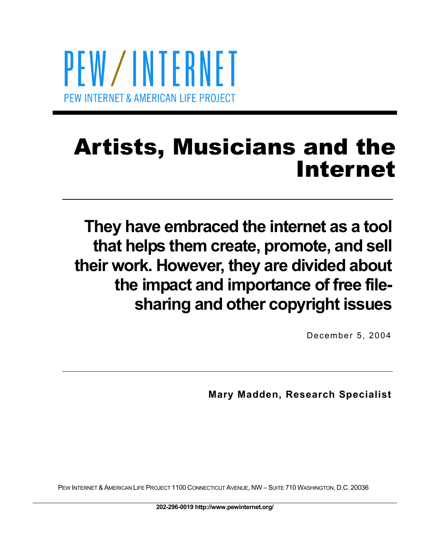PEW/INTERNET PEW INTERNET & AMERICAN LIFE PROJECT

# Artists, Musicians and the Internet

**They have embraced the internet as a tool that helps them create, promote, and sell their work. However, they are divided about the impact and importance of free filesharing and other copyright issues** 

December 5, 2004

**Mary Madden, Research Specialist** 

PEW INTERNET & AMERICAN LIFE PROJECT 1100 CONNECTICUT AVENUE, NW – SUITE 710 WASHINGTON, D.C. 20036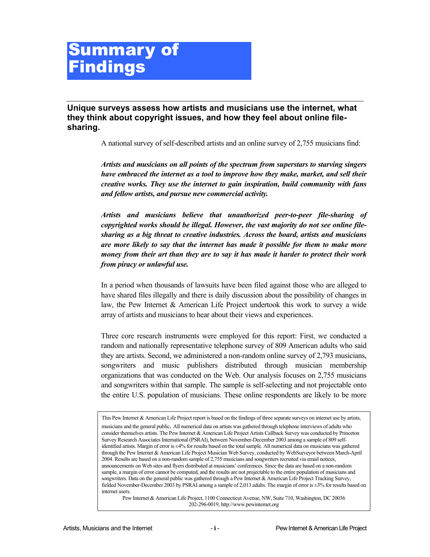## Summary of **Findings**

**Unique surveys assess how artists and musicians use the internet, what they think about copyright issues, and how they feel about online filesharing.** 

A national survey of self-described artists and an online survey of 2,755 musicians find:

*Artists and musicians on all points of the spectrum from superstars to starving singers have embraced the internet as a tool to improve how they make, market, and sell their creative works. They use the internet to gain inspiration, build community with fans and fellow artists, and pursue new commercial activity.* 

*Artists and musicians believe that unauthorized peer-to-peer file-sharing of copyrighted works should be illegal. However, the vast majority do not see online filesharing as a big threat to creative industries. Across the board, artists and musicians are more likely to say that the internet has made it possible for them to make more money from their art than they are to say it has made it harder to protect their work from piracy or unlawful use.* 

In a period when thousands of lawsuits have been filed against those who are alleged to have shared files illegally and there is daily discussion about the possibility of changes in law, the Pew Internet & American Life Project undertook this work to survey a wide array of artists and musicians to hear about their views and experiences.

Three core research instruments were employed for this report: First, we conducted a random and nationally representative telephone survey of 809 American adults who said they are artists. Second, we administered a non-random online survey of 2,793 musicians, songwriters and music publishers distributed through musician membership organizations that was conducted on the Web. Our analysis focuses on 2,755 musicians and songwriters within that sample. The sample is self-selecting and not projectable onto the entire U.S. population of musicians. These online respondents are likely to be more

Pew Internet & American Life Project, 1100 Connecticut Avenue, NW, Suite 710, Washington, DC 20036 202-296-0019, http://www.pewinternet.org

This Pew Internet & American Life Project report is based on the findings of three separate surveys on internet use by artists, musicians and the general public. All numerical data on artists was gathered through telephone interviews of adults who consider themselves artists. The Pew Internet & American Life Project Artists Callback Survey was conducted by Princeton Survey Research Associates International (PSRAI), between November-December 2003 among a sample of 809 selfidentified artists. Margin of error is ±4% for results based on the total sample. All numerical data on musicians was gathered through the Pew Internet & American Life Project Musician Web Survey, conducted by WebSurveyor between March-April 2004. Results are based on a non-random sample of 2,755 musicians and songwriters recruited via email notices, announcements on Web sites and flyers distributed at musicians' conferences. Since the data are based on a non-random sample, a margin of error cannot be computed, and the results are not projectable to the entire population of musicians and songwriters. Data on the general public was gathered through a Pew Internet & American Life Project Tracking Survey, fielded November-December 2003 by PSRAI among a sample of 2,013 adults. The margin of error is ±3% for results based on internet users.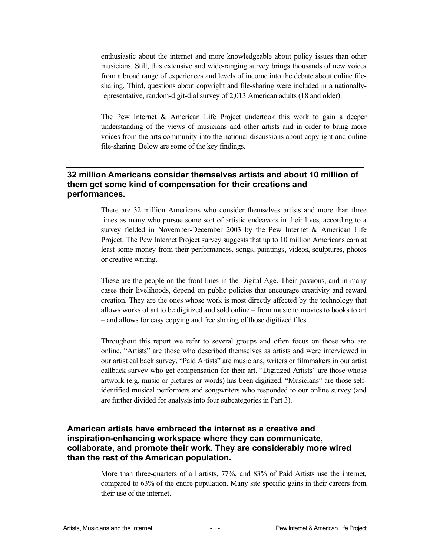enthusiastic about the internet and more knowledgeable about policy issues than other musicians. Still, this extensive and wide-ranging survey brings thousands of new voices from a broad range of experiences and levels of income into the debate about online filesharing. Third, questions about copyright and file-sharing were included in a nationallyrepresentative, random-digit-dial survey of 2,013 American adults (18 and older).

The Pew Internet & American Life Project undertook this work to gain a deeper understanding of the views of musicians and other artists and in order to bring more voices from the arts community into the national discussions about copyright and online file-sharing. Below are some of the key findings.

#### **32 million Americans consider themselves artists and about 10 million of them get some kind of compensation for their creations and performances.**

There are 32 million Americans who consider themselves artists and more than three times as many who pursue some sort of artistic endeavors in their lives, according to a survey fielded in November-December 2003 by the Pew Internet & American Life Project. The Pew Internet Project survey suggests that up to 10 million Americans earn at least some money from their performances, songs, paintings, videos, sculptures, photos or creative writing.

These are the people on the front lines in the Digital Age. Their passions, and in many cases their livelihoods, depend on public policies that encourage creativity and reward creation. They are the ones whose work is most directly affected by the technology that allows works of art to be digitized and sold online – from music to movies to books to art – and allows for easy copying and free sharing of those digitized files.

Throughout this report we refer to several groups and often focus on those who are online. "Artists" are those who described themselves as artists and were interviewed in our artist callback survey. "Paid Artists" are musicians, writers or filmmakers in our artist callback survey who get compensation for their art. "Digitized Artists" are those whose artwork (e.g. music or pictures or words) has been digitized. "Musicians" are those selfidentified musical performers and songwriters who responded to our online survey (and are further divided for analysis into four subcategories in Part 3).

#### **American artists have embraced the internet as a creative and inspiration-enhancing workspace where they can communicate, collaborate, and promote their work. They are considerably more wired than the rest of the American population.**

More than three-quarters of all artists, 77%, and 83% of Paid Artists use the internet, compared to 63% of the entire population. Many site specific gains in their careers from their use of the internet.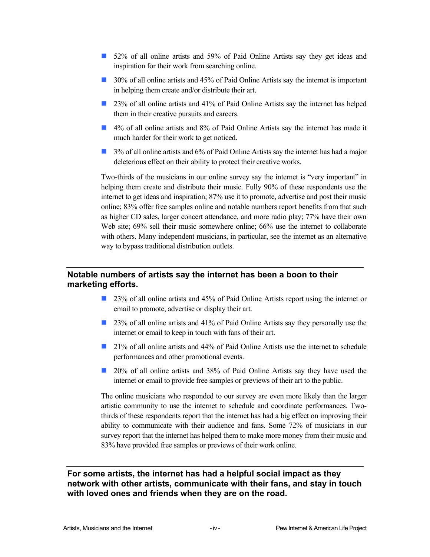- 52% of all online artists and 59% of Paid Online Artists say they get ideas and inspiration for their work from searching online.
- 30% of all online artists and 45% of Paid Online Artists say the internet is important in helping them create and/or distribute their art.
- 23% of all online artists and 41% of Paid Online Artists say the internet has helped them in their creative pursuits and careers.
- 4% of all online artists and 8% of Paid Online Artists say the internet has made it much harder for their work to get noticed.
- **3% of all online artists and 6% of Paid Online Artists say the internet has had a major** deleterious effect on their ability to protect their creative works.

Two-thirds of the musicians in our online survey say the internet is "very important" in helping them create and distribute their music. Fully 90% of these respondents use the internet to get ideas and inspiration; 87% use it to promote, advertise and post their music online; 83% offer free samples online and notable numbers report benefits from that such as higher CD sales, larger concert attendance, and more radio play; 77% have their own Web site; 69% sell their music somewhere online; 66% use the internet to collaborate with others. Many independent musicians, in particular, see the internet as an alternative way to bypass traditional distribution outlets.

#### **Notable numbers of artists say the internet has been a boon to their marketing efforts.**

- 23% of all online artists and 45% of Paid Online Artists report using the internet or email to promote, advertise or display their art.
- 23% of all online artists and 41% of Paid Online Artists say they personally use the internet or email to keep in touch with fans of their art.
- 21% of all online artists and 44% of Paid Online Artists use the internet to schedule performances and other promotional events.
- 20% of all online artists and 38% of Paid Online Artists say they have used the internet or email to provide free samples or previews of their art to the public.

The online musicians who responded to our survey are even more likely than the larger artistic community to use the internet to schedule and coordinate performances. Twothirds of these respondents report that the internet has had a big effect on improving their ability to communicate with their audience and fans. Some 72% of musicians in our survey report that the internet has helped them to make more money from their music and 83% have provided free samples or previews of their work online.

**For some artists, the internet has had a helpful social impact as they network with other artists, communicate with their fans, and stay in touch with loved ones and friends when they are on the road.**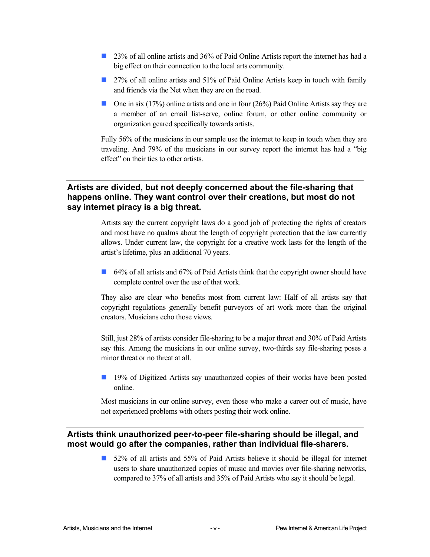- 23% of all online artists and 36% of Paid Online Artists report the internet has had a big effect on their connection to the local arts community.
- 27% of all online artists and 51% of Paid Online Artists keep in touch with family and friends via the Net when they are on the road.
- One in six (17%) online artists and one in four (26%) Paid Online Artists say they are a member of an email list-serve, online forum, or other online community or organization geared specifically towards artists.

Fully 56% of the musicians in our sample use the internet to keep in touch when they are traveling. And 79% of the musicians in our survey report the internet has had a "big effect" on their ties to other artists.

#### **Artists are divided, but not deeply concerned about the file-sharing that happens online. They want control over their creations, but most do not say internet piracy is a big threat.**

Artists say the current copyright laws do a good job of protecting the rights of creators and most have no qualms about the length of copyright protection that the law currently allows. Under current law, the copyright for a creative work lasts for the length of the artist's lifetime, plus an additional 70 years.

64% of all artists and 67% of Paid Artists think that the copyright owner should have complete control over the use of that work.

They also are clear who benefits most from current law: Half of all artists say that copyright regulations generally benefit purveyors of art work more than the original creators. Musicians echo those views.

Still, just 28% of artists consider file-sharing to be a major threat and 30% of Paid Artists say this. Among the musicians in our online survey, two-thirds say file-sharing poses a minor threat or no threat at all

**19%** of Digitized Artists say unauthorized copies of their works have been posted online.

Most musicians in our online survey, even those who make a career out of music, have not experienced problems with others posting their work online.

#### **Artists think unauthorized peer-to-peer file-sharing should be illegal, and most would go after the companies, rather than individual file-sharers.**

52% of all artists and 55% of Paid Artists believe it should be illegal for internet users to share unauthorized copies of music and movies over file-sharing networks, compared to 37% of all artists and 35% of Paid Artists who say it should be legal.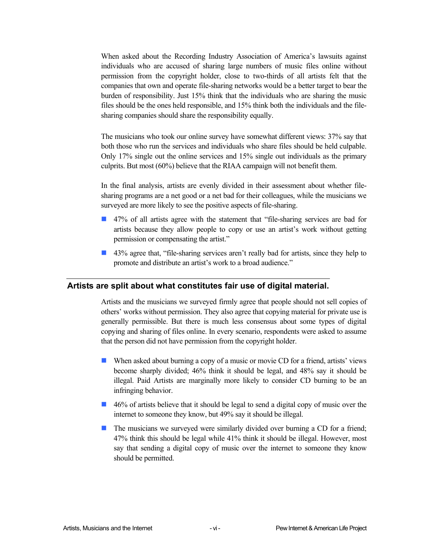When asked about the Recording Industry Association of America's lawsuits against individuals who are accused of sharing large numbers of music files online without permission from the copyright holder, close to two-thirds of all artists felt that the companies that own and operate file-sharing networks would be a better target to bear the burden of responsibility. Just 15% think that the individuals who are sharing the music files should be the ones held responsible, and 15% think both the individuals and the filesharing companies should share the responsibility equally.

The musicians who took our online survey have somewhat different views: 37% say that both those who run the services and individuals who share files should be held culpable. Only 17% single out the online services and 15% single out individuals as the primary culprits. But most (60%) believe that the RIAA campaign will not benefit them.

In the final analysis, artists are evenly divided in their assessment about whether filesharing programs are a net good or a net bad for their colleagues, while the musicians we surveyed are more likely to see the positive aspects of file-sharing.

- 47% of all artists agree with the statement that "file-sharing services are bad for artists because they allow people to copy or use an artist's work without getting permission or compensating the artist."
- 43% agree that, "file-sharing services aren't really bad for artists, since they help to promote and distribute an artist's work to a broad audience."

#### **Artists are split about what constitutes fair use of digital material.**

Artists and the musicians we surveyed firmly agree that people should not sell copies of others' works without permission. They also agree that copying material for private use is generally permissible. But there is much less consensus about some types of digital copying and sharing of files online. In every scenario, respondents were asked to assume that the person did not have permission from the copyright holder.

- When asked about burning a copy of a music or movie CD for a friend, artists' views become sharply divided; 46% think it should be legal, and 48% say it should be illegal. Paid Artists are marginally more likely to consider CD burning to be an infringing behavior.
- 46% of artists believe that it should be legal to send a digital copy of music over the internet to someone they know, but 49% say it should be illegal.
- **The musicians we surveyed were similarly divided over burning a CD for a friend;** 47% think this should be legal while 41% think it should be illegal. However, most say that sending a digital copy of music over the internet to someone they know should be permitted.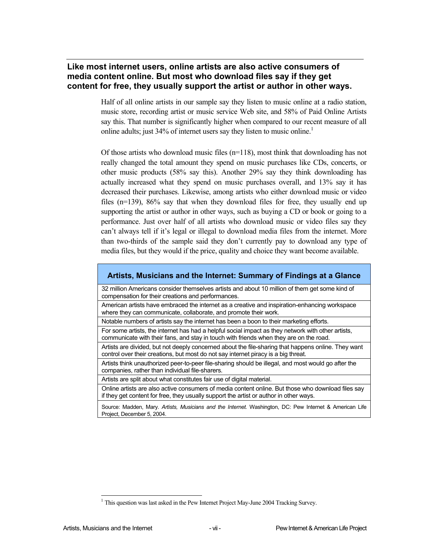#### **Like most internet users, online artists are also active consumers of media content online. But most who download files say if they get content for free, they usually support the artist or author in other ways.**

Half of all online artists in our sample say they listen to music online at a radio station, music store, recording artist or music service Web site, and 58% of Paid Online Artists say this. That number is significantly higher when compared to our recent measure of all online adults; just  $34\%$  of internet users say they listen to music online.<sup>1</sup>

Of those artists who download music files  $(n=118)$ , most think that downloading has not really changed the total amount they spend on music purchases like CDs, concerts, or other music products (58% say this). Another 29% say they think downloading has actually increased what they spend on music purchases overall, and 13% say it has decreased their purchases. Likewise, among artists who either download music or video files (n=139), 86% say that when they download files for free, they usually end up supporting the artist or author in other ways, such as buying a CD or book or going to a performance. Just over half of all artists who download music or video files say they can't always tell if it's legal or illegal to download media files from the internet. More than two-thirds of the sample said they don't currently pay to download any type of media files, but they would if the price, quality and choice they want become available.

#### **Artists, Musicians and the Internet: Summary of Findings at a Glance**

32 million Americans consider themselves artists and about 10 million of them get some kind of compensation for their creations and performances.

American artists have embraced the internet as a creative and inspiration-enhancing workspace where they can communicate, collaborate, and promote their work.

Notable numbers of artists say the internet has been a boon to their marketing efforts.

For some artists, the internet has had a helpful social impact as they network with other artists, communicate with their fans, and stay in touch with friends when they are on the road.

Artists are divided, but not deeply concerned about the file-sharing that happens online. They want control over their creations, but most do not say internet piracy is a big threat.

Artists think unauthorized peer-to-peer file-sharing should be illegal, and most would go after the companies, rather than individual file-sharers.

Artists are split about what constitutes fair use of digital material.

Online artists are also active consumers of media content online. But those who download files say if they get content for free, they usually support the artist or author in other ways.

Source: Madden, Mary. *Artists, Musicians and the Internet.* Washington, DC: Pew Internet & American Life Project, December 5, 2004.

l

<sup>&</sup>lt;sup>1</sup> This question was last asked in the Pew Internet Project May-June 2004 Tracking Survey.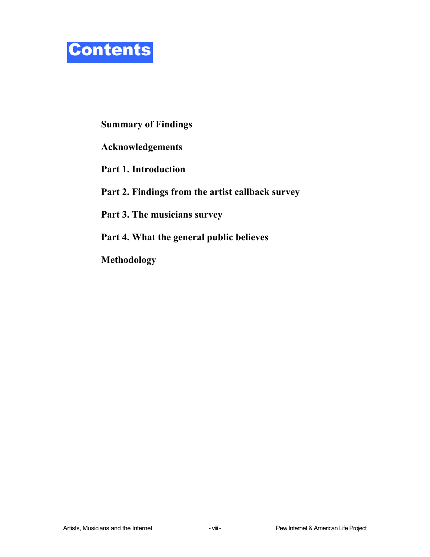

### **Summary of Findings**

**Acknowledgements** 

**Part 1. Introduction** 

**Part 2. Findings from the artist callback survey** 

**Part 3. The musicians survey** 

**Part 4. What the general public believes** 

**Methodology**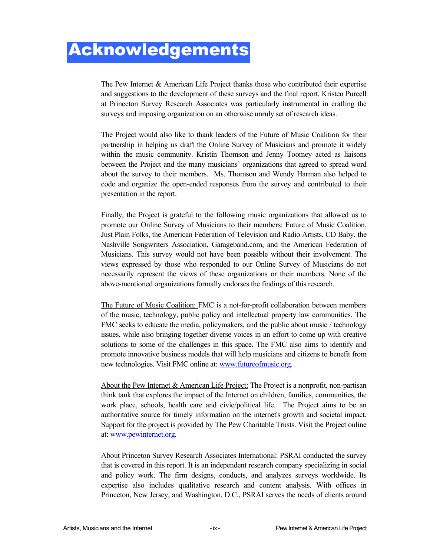## Acknowledgements

The Pew Internet & American Life Project thanks those who contributed their expertise and suggestions to the development of these surveys and the final report. Kristen Purcell at Princeton Survey Research Associates was particularly instrumental in crafting the surveys and imposing organization on an otherwise unruly set of research ideas.

The Project would also like to thank leaders of the Future of Music Coalition for their partnership in helping us draft the Online Survey of Musicians and promote it widely within the music community. Kristin Thomson and Jenny Toomey acted as liaisons between the Project and the many musicians' organizations that agreed to spread word about the survey to their members. Ms. Thomson and Wendy Harman also helped to code and organize the open-ended responses from the survey and contributed to their presentation in the report.

Finally, the Project is grateful to the following music organizations that allowed us to promote our Online Survey of Musicians to their members: Future of Music Coalition, Just Plain Folks, the American Federation of Television and Radio Artists, CD Baby, the Nashville Songwriters Association, Garageband.com, and the American Federation of Musicians. This survey would not have been possible without their involvement. The views expressed by those who responded to our Online Survey of Musicians do not necessarily represent the views of these organizations or their members. None of the above-mentioned organizations formally endorses the findings of this research.

The Future of Music Coalition: FMC is a not-for-profit collaboration between members of the music, technology, public policy and intellectual property law communities. The FMC seeks to educate the media, policymakers, and the public about music / technology issues, while also bringing together diverse voices in an effort to come up with creative solutions to some of the challenges in this space. The FMC also aims to identify and promote innovative business models that will help musicians and citizens to benefit from new technologies. Visit FMC online at: www.futureofmusic.org.

About the Pew Internet & American Life Project: The Project is a nonprofit, non-partisan think tank that explores the impact of the Internet on children, families, communities, the work place, schools, health care and civic/political life. The Project aims to be an authoritative source for timely information on the internet's growth and societal impact. Support for the project is provided by The Pew Charitable Trusts. Visit the Project online at: www.pewinternet.org.

About Princeton Survey Research Associates International: PSRAI conducted the survey that is covered in this report. It is an independent research company specializing in social and policy work. The firm designs, conducts, and analyzes surveys worldwide. Its expertise also includes qualitative research and content analysis. With offices in Princeton, New Jersey, and Washington, D.C., PSRAI serves the needs of clients around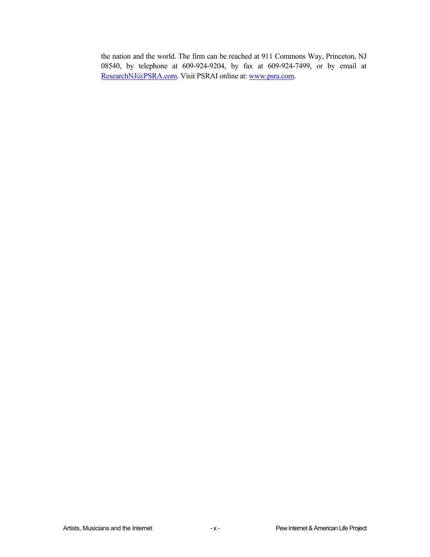the nation and the world. The firm can be reached at 911 Commons Way, Princeton, NJ 08540, by telephone at 609-924-9204, by fax at 609-924-7499, or by email at ResearchNJ@PSRA.com. Visit PSRAI online at: www.psra.com.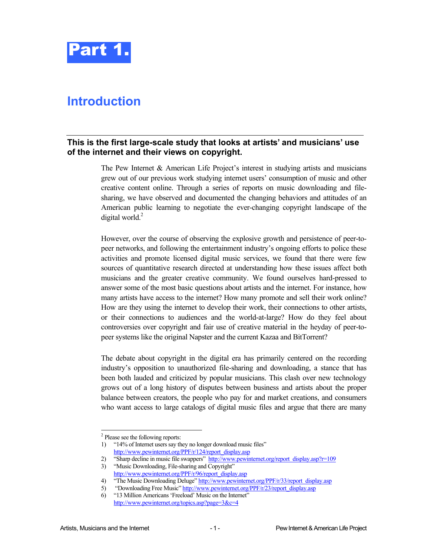

## **Introduction**

#### **This is the first large-scale study that looks at artists' and musicians' use of the internet and their views on copyright.**

The Pew Internet & American Life Project's interest in studying artists and musicians grew out of our previous work studying internet users' consumption of music and other creative content online. Through a series of reports on music downloading and filesharing, we have observed and documented the changing behaviors and attitudes of an American public learning to negotiate the ever-changing copyright landscape of the digital world.<sup>2</sup>

However, over the course of observing the explosive growth and persistence of peer-topeer networks, and following the entertainment industry's ongoing efforts to police these activities and promote licensed digital music services, we found that there were few sources of quantitative research directed at understanding how these issues affect both musicians and the greater creative community. We found ourselves hard-pressed to answer some of the most basic questions about artists and the internet. For instance, how many artists have access to the internet? How many promote and sell their work online? How are they using the internet to develop their work, their connections to other artists, or their connections to audiences and the world-at-large? How do they feel about controversies over copyright and fair use of creative material in the heyday of peer-topeer systems like the original Napster and the current Kazaa and BitTorrent?

The debate about copyright in the digital era has primarily centered on the recording industry's opposition to unauthorized file-sharing and downloading, a stance that has been both lauded and criticized by popular musicians. This clash over new technology grows out of a long history of disputes between business and artists about the proper balance between creators, the people who pay for and market creations, and consumers who want access to large catalogs of digital music files and argue that there are many

1

<sup>&</sup>lt;sup>2</sup> Please see the following reports:

<sup>1)</sup> "14% of Internet users say they no longer download music files" http://www.pewinternet.org/PPF/r/124/report\_display.asp

<sup>2) &</sup>quot;Sharp decline in music file swappers" http://www.pewinternet.org/report\_display.asp?r=109

<sup>3)</sup> "Music Downloading, File-sharing and Copyright" http://www.pewinternet.org/PPF/r/96/report\_display.asp

<sup>4) &</sup>quot;The Music Downloading Deluge" http://www.pewinternet.org/PPF/r/33/report\_display.asp

<sup>5) &</sup>quot;Downloading Free Music" http://www.pewinternet.org/PPF/r/23/report\_display.asp

<sup>6)</sup> "13 Million Americans 'Freeload' Music on the Internet" http://www.pewinternet.org/topics.asp?page=3&c=4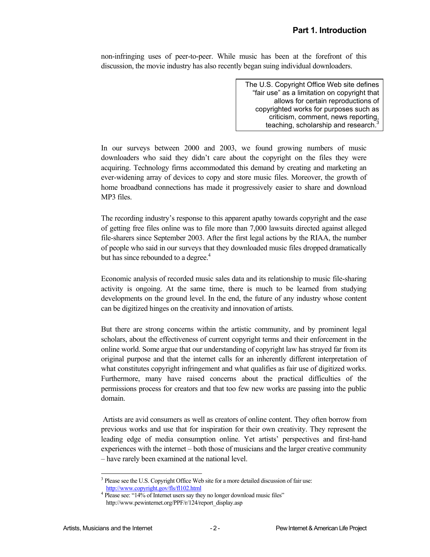non-infringing uses of peer-to-peer. While music has been at the forefront of this discussion, the movie industry has also recently began suing individual downloaders.

> The U.S. Copyright Office Web site defines "fair use" as a limitation on copyright that allows for certain reproductions of copyrighted works for purposes such as criticism, comment, news reporting, teaching, scholarship and research. $3$

In our surveys between 2000 and 2003, we found growing numbers of music downloaders who said they didn't care about the copyright on the files they were acquiring. Technology firms accommodated this demand by creating and marketing an ever-widening array of devices to copy and store music files. Moreover, the growth of home broadband connections has made it progressively easier to share and download MP3 files.

The recording industry's response to this apparent apathy towards copyright and the ease of getting free files online was to file more than 7,000 lawsuits directed against alleged file-sharers since September 2003. After the first legal actions by the RIAA, the number of people who said in our surveys that they downloaded music files dropped dramatically but has since rebounded to a degree. $4$ 

Economic analysis of recorded music sales data and its relationship to music file-sharing activity is ongoing. At the same time, there is much to be learned from studying developments on the ground level. In the end, the future of any industry whose content can be digitized hinges on the creativity and innovation of artists.

But there are strong concerns within the artistic community, and by prominent legal scholars, about the effectiveness of current copyright terms and their enforcement in the online world. Some argue that our understanding of copyright law has strayed far from its original purpose and that the internet calls for an inherently different interpretation of what constitutes copyright infringement and what qualifies as fair use of digitized works. Furthermore, many have raised concerns about the practical difficulties of the permissions process for creators and that too few new works are passing into the public domain.

 Artists are avid consumers as well as creators of online content. They often borrow from previous works and use that for inspiration for their own creativity. They represent the leading edge of media consumption online. Yet artists' perspectives and first-hand experiences with the internet – both those of musicians and the larger creative community – have rarely been examined at the national level.

1

<sup>&</sup>lt;sup>3</sup> Please see the U.S. Copyright Office Web site for a more detailed discussion of fair use: http://www.copyright.gov/fls/fl102.html <sup>4</sup>

<sup>&</sup>lt;sup>4</sup> Please see: "14% of Internet users say they no longer download music files" http://www.pewinternet.org/PPF/r/124/report\_display.asp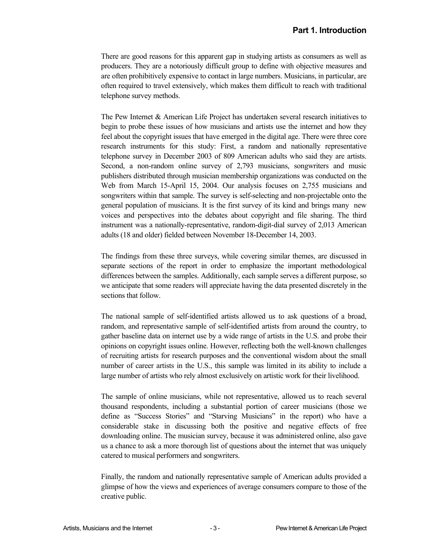There are good reasons for this apparent gap in studying artists as consumers as well as producers. They are a notoriously difficult group to define with objective measures and are often prohibitively expensive to contact in large numbers. Musicians, in particular, are often required to travel extensively, which makes them difficult to reach with traditional telephone survey methods.

The Pew Internet & American Life Project has undertaken several research initiatives to begin to probe these issues of how musicians and artists use the internet and how they feel about the copyright issues that have emerged in the digital age. There were three core research instruments for this study: First, a random and nationally representative telephone survey in December 2003 of 809 American adults who said they are artists. Second, a non-random online survey of 2,793 musicians, songwriters and music publishers distributed through musician membership organizations was conducted on the Web from March 15-April 15, 2004. Our analysis focuses on 2,755 musicians and songwriters within that sample. The survey is self-selecting and non-projectable onto the general population of musicians. It is the first survey of its kind and brings many new voices and perspectives into the debates about copyright and file sharing. The third instrument was a nationally-representative, random-digit-dial survey of 2,013 American adults (18 and older) fielded between November 18-December 14, 2003.

The findings from these three surveys, while covering similar themes, are discussed in separate sections of the report in order to emphasize the important methodological differences between the samples. Additionally, each sample serves a different purpose, so we anticipate that some readers will appreciate having the data presented discretely in the sections that follow.

The national sample of self-identified artists allowed us to ask questions of a broad, random, and representative sample of self-identified artists from around the country, to gather baseline data on internet use by a wide range of artists in the U.S. and probe their opinions on copyright issues online. However, reflecting both the well-known challenges of recruiting artists for research purposes and the conventional wisdom about the small number of career artists in the U.S., this sample was limited in its ability to include a large number of artists who rely almost exclusively on artistic work for their livelihood.

The sample of online musicians, while not representative, allowed us to reach several thousand respondents, including a substantial portion of career musicians (those we define as "Success Stories" and "Starving Musicians" in the report) who have a considerable stake in discussing both the positive and negative effects of free downloading online. The musician survey, because it was administered online, also gave us a chance to ask a more thorough list of questions about the internet that was uniquely catered to musical performers and songwriters.

Finally, the random and nationally representative sample of American adults provided a glimpse of how the views and experiences of average consumers compare to those of the creative public.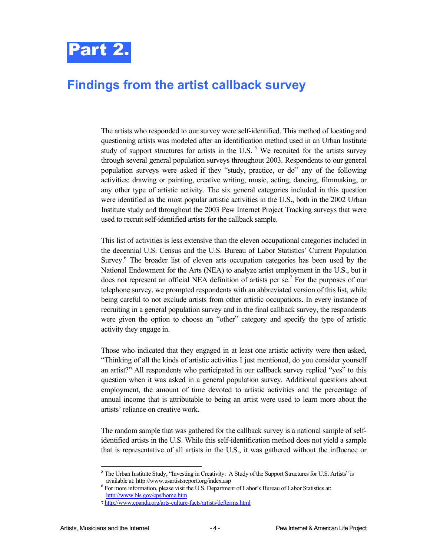

## **Findings from the artist callback survey**

The artists who responded to our survey were self-identified. This method of locating and questioning artists was modeled after an identification method used in an Urban Institute study of support structures for artists in the U.S.  $<sup>5</sup>$  We recruited for the artists survey</sup> through several general population surveys throughout 2003. Respondents to our general population surveys were asked if they "study, practice, or do" any of the following activities: drawing or painting, creative writing, music, acting, dancing, filmmaking, or any other type of artistic activity. The six general categories included in this question were identified as the most popular artistic activities in the U.S., both in the 2002 Urban Institute study and throughout the 2003 Pew Internet Project Tracking surveys that were used to recruit self-identified artists for the callback sample.

This list of activities is less extensive than the eleven occupational categories included in the decennial U.S. Census and the U.S. Bureau of Labor Statistics' Current Population Survey.<sup>6</sup> The broader list of eleven arts occupation categories has been used by the National Endowment for the Arts (NEA) to analyze artist employment in the U.S., but it does not represent an official NEA definition of artists per se.<sup>7</sup> For the purposes of our telephone survey, we prompted respondents with an abbreviated version of this list, while being careful to not exclude artists from other artistic occupations. In every instance of recruiting in a general population survey and in the final callback survey, the respondents were given the option to choose an "other" category and specify the type of artistic activity they engage in.

Those who indicated that they engaged in at least one artistic activity were then asked, "Thinking of all the kinds of artistic activities I just mentioned, do you consider yourself an artist?" All respondents who participated in our callback survey replied "yes" to this question when it was asked in a general population survey. Additional questions about employment, the amount of time devoted to artistic activities and the percentage of annual income that is attributable to being an artist were used to learn more about the artists' reliance on creative work.

The random sample that was gathered for the callback survey is a national sample of selfidentified artists in the U.S. While this self-identification method does not yield a sample that is representative of all artists in the U.S., it was gathered without the influence or

-

<sup>&</sup>lt;sup>5</sup> The Urban Institute Study, "Investing in Creativity: A Study of the Support Structures for U.S. Artists" is available at: http://www.usartistsreport.org/index.asp 6

 $^6$  For more information, please visit the U.S. Department of Labor's Bureau of Labor Statistics at: http://www.bls.gov/cps/home.htm

<sup>7</sup> http://www.cpanda.org/arts-culture-facts/artists/defterms.html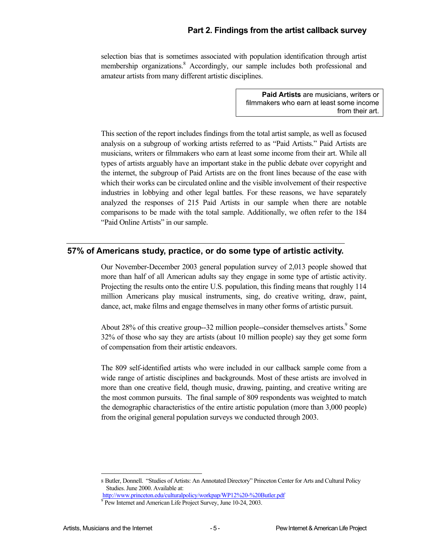#### **Part 2. Findings from the artist callback survey**

selection bias that is sometimes associated with population identification through artist membership organizations.<sup>8</sup> Accordingly, our sample includes both professional and amateur artists from many different artistic disciplines.

> **Paid Artists** are musicians, writers or filmmakers who earn at least some income from their art.

This section of the report includes findings from the total artist sample, as well as focused analysis on a subgroup of working artists referred to as "Paid Artists." Paid Artists are musicians, writers or filmmakers who earn at least some income from their art. While all types of artists arguably have an important stake in the public debate over copyright and the internet, the subgroup of Paid Artists are on the front lines because of the ease with which their works can be circulated online and the visible involvement of their respective industries in lobbying and other legal battles. For these reasons, we have separately analyzed the responses of 215 Paid Artists in our sample when there are notable comparisons to be made with the total sample. Additionally, we often refer to the 184 "Paid Online Artists" in our sample.

#### **57% of Americans study, practice, or do some type of artistic activity.**

Our November-December 2003 general population survey of 2,013 people showed that more than half of all American adults say they engage in some type of artistic activity. Projecting the results onto the entire U.S. population, this finding means that roughly 114 million Americans play musical instruments, sing, do creative writing, draw, paint, dance, act, make films and engage themselves in many other forms of artistic pursuit.

About 28% of this creative group--32 million people--consider themselves artists.<sup>9</sup> Some 32% of those who say they are artists (about 10 million people) say they get some form of compensation from their artistic endeavors.

The 809 self-identified artists who were included in our callback sample come from a wide range of artistic disciplines and backgrounds. Most of these artists are involved in more than one creative field, though music, drawing, painting, and creative writing are the most common pursuits. The final sample of 809 respondents was weighted to match the demographic characteristics of the entire artistic population (more than 3,000 people) from the original general population surveys we conducted through 2003.

l

<sup>8</sup> Butler, Donnell. "Studies of Artists: An Annotated Directory" Princeton Center for Arts and Cultural Policy Studies. June 2000. Available at:

http://www.princeton.edu/culturalpolicy/workpap/WP12%20-%20Butler.pdf <sup>9</sup>

<sup>&</sup>lt;sup>9</sup> Pew Internet and American Life Project Survey, June 10-24, 2003.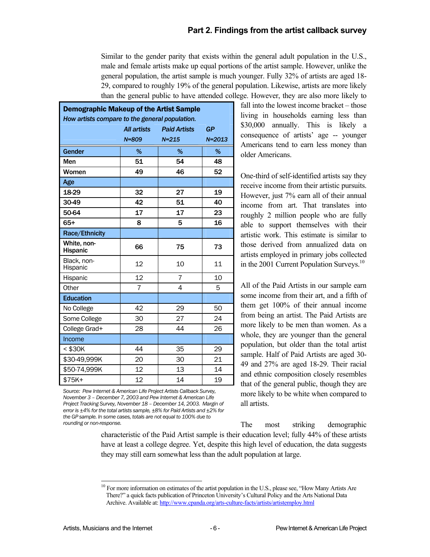#### **Part 2. Findings from the artist callback survey**

Similar to the gender parity that exists within the general adult population in the U.S., male and female artists make up equal portions of the artist sample. However, unlike the general population, the artist sample is much younger. Fully 32% of artists are aged 18- 29, compared to roughly 19% of the general population. Likewise, artists are more likely than the general public to have attended college. However, they are also more likely to

| <b>Demographic Makeup of the Artist Sample</b> |                    |                     |            |  |
|------------------------------------------------|--------------------|---------------------|------------|--|
| How artists compare to the general population. |                    |                     |            |  |
|                                                | <b>All artists</b> | <b>Paid Artists</b> | GP         |  |
|                                                | $N = 809$          | $N = 215$           | $N = 2013$ |  |
| Gender                                         | %                  | %                   | %          |  |
| Men                                            | 51                 | 54                  | 48         |  |
| Women                                          | 49                 | 46                  | 52         |  |
| Age                                            |                    |                     |            |  |
| 18-29                                          | 32                 | 27                  | 19         |  |
| 30-49                                          | 42                 | 51                  | 40         |  |
| 50-64                                          | 17                 | 17                  | 23         |  |
| $65+$                                          | 8                  | 5                   | 16         |  |
| Race/Ethnicity                                 |                    |                     |            |  |
| White, non-<br><b>Hispanic</b>                 | 66                 | 75                  | 73         |  |
| Black, non-<br>Hispanic                        | 12                 | 10                  | 11         |  |
| Hispanic                                       | 12                 | 7                   | 10         |  |
| Other                                          | $\overline{7}$     | 4                   | 5          |  |
| <b>Education</b>                               |                    |                     |            |  |
| No College                                     | 42                 | 29                  | 50         |  |
| Some College                                   | 30                 | 27                  | 24         |  |
| College Grad+                                  | 28                 | 44                  | 26         |  |
| Income                                         |                    |                     |            |  |
| < \$30K                                        | 44                 | 35                  | 29         |  |
| \$30-49,999K                                   | 20                 | 30                  | 21         |  |
| \$50-74,999K                                   | 12                 | 13                  | 14         |  |
| \$75K+                                         | 12                 | 14                  | 19         |  |

*Source: Pew Internet & American Life Project Artists Callback Survey, November 3 – December 7, 2003 and Pew Internet & American Life Project Tracking Survey, November 18 – December 14, 2003. Margin of error is ±4% for the total artists sample, ±8% for Paid Artists and ±2% for the GP sample. In some cases, totals are not equal to 100% due to rounding or non-response.* 

fall into the lowest income bracket – those living in households earning less than \$30,000 annually. This is likely a consequence of artists' age -- younger Americans tend to earn less money than older Americans.

One-third of self-identified artists say they receive income from their artistic pursuits. However, just 7% earn all of their annual income from art. That translates into roughly 2 million people who are fully able to support themselves with their artistic work. This estimate is similar to those derived from annualized data on artists employed in primary jobs collected in the 2001 Current Population Surveys.<sup>10</sup>

All of the Paid Artists in our sample earn some income from their art, and a fifth of them get 100% of their annual income from being an artist. The Paid Artists are more likely to be men than women. As a whole, they are younger than the general population, but older than the total artist sample. Half of Paid Artists are aged 30- 49 and 27% are aged 18-29. Their racial and ethnic composition closely resembles that of the general public, though they are more likely to be white when compared to all artists.

The most striking demographic

characteristic of the Paid Artist sample is their education level; fully 44% of these artists have at least a college degree. Yet, despite this high level of education, the data suggests they may still earn somewhat less than the adult population at large.

l

<sup>&</sup>lt;sup>10</sup> For more information on estimates of the artist population in the U.S., please see, "How Many Artists Are There?" a quick facts publication of Princeton University's Cultural Policy and the Arts National Data Archive. Available at: http://www.cpanda.org/arts-culture-facts/artists/artistemploy.html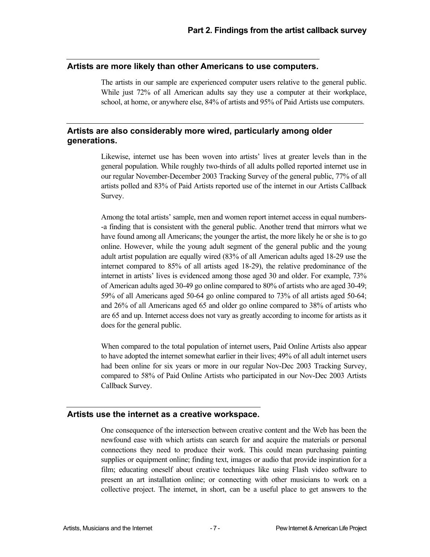#### **Artists are more likely than other Americans to use computers.**

The artists in our sample are experienced computer users relative to the general public. While just 72% of all American adults say they use a computer at their workplace, school, at home, or anywhere else, 84% of artists and 95% of Paid Artists use computers.

#### **Artists are also considerably more wired, particularly among older generations.**

Likewise, internet use has been woven into artists' lives at greater levels than in the general population. While roughly two-thirds of all adults polled reported internet use in our regular November-December 2003 Tracking Survey of the general public, 77% of all artists polled and 83% of Paid Artists reported use of the internet in our Artists Callback Survey.

Among the total artists' sample, men and women report internet access in equal numbers- -a finding that is consistent with the general public. Another trend that mirrors what we have found among all Americans; the younger the artist, the more likely he or she is to go online. However, while the young adult segment of the general public and the young adult artist population are equally wired (83% of all American adults aged 18-29 use the internet compared to 85% of all artists aged 18-29), the relative predominance of the internet in artists' lives is evidenced among those aged 30 and older. For example, 73% of American adults aged 30-49 go online compared to 80% of artists who are aged 30-49; 59% of all Americans aged 50-64 go online compared to 73% of all artists aged 50-64; and 26% of all Americans aged 65 and older go online compared to 38% of artists who are 65 and up. Internet access does not vary as greatly according to income for artists as it does for the general public.

When compared to the total population of internet users, Paid Online Artists also appear to have adopted the internet somewhat earlier in their lives; 49% of all adult internet users had been online for six years or more in our regular Nov-Dec 2003 Tracking Survey, compared to 58% of Paid Online Artists who participated in our Nov-Dec 2003 Artists Callback Survey.

#### **Artists use the internet as a creative workspace.**

One consequence of the intersection between creative content and the Web has been the newfound ease with which artists can search for and acquire the materials or personal connections they need to produce their work. This could mean purchasing painting supplies or equipment online; finding text, images or audio that provide inspiration for a film; educating oneself about creative techniques like using Flash video software to present an art installation online; or connecting with other musicians to work on a collective project. The internet, in short, can be a useful place to get answers to the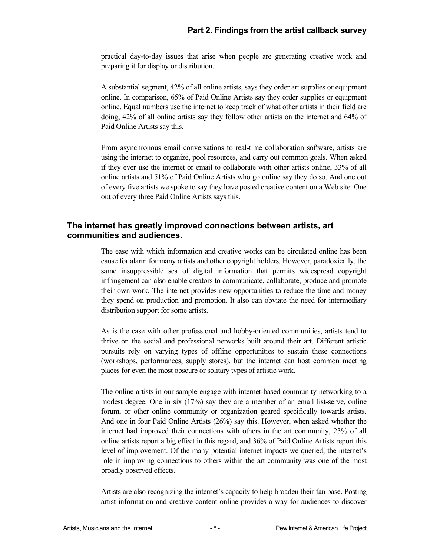practical day-to-day issues that arise when people are generating creative work and preparing it for display or distribution.

A substantial segment, 42% of all online artists, says they order art supplies or equipment online. In comparison, 65% of Paid Online Artists say they order supplies or equipment online. Equal numbers use the internet to keep track of what other artists in their field are doing; 42% of all online artists say they follow other artists on the internet and 64% of Paid Online Artists say this.

From asynchronous email conversations to real-time collaboration software, artists are using the internet to organize, pool resources, and carry out common goals. When asked if they ever use the internet or email to collaborate with other artists online, 33% of all online artists and 51% of Paid Online Artists who go online say they do so. And one out of every five artists we spoke to say they have posted creative content on a Web site. One out of every three Paid Online Artists says this.

#### **The internet has greatly improved connections between artists, art communities and audiences.**

The ease with which information and creative works can be circulated online has been cause for alarm for many artists and other copyright holders. However, paradoxically, the same insuppressible sea of digital information that permits widespread copyright infringement can also enable creators to communicate, collaborate, produce and promote their own work. The internet provides new opportunities to reduce the time and money they spend on production and promotion. It also can obviate the need for intermediary distribution support for some artists.

As is the case with other professional and hobby-oriented communities, artists tend to thrive on the social and professional networks built around their art. Different artistic pursuits rely on varying types of offline opportunities to sustain these connections (workshops, performances, supply stores), but the internet can host common meeting places for even the most obscure or solitary types of artistic work.

The online artists in our sample engage with internet-based community networking to a modest degree. One in six (17%) say they are a member of an email list-serve, online forum, or other online community or organization geared specifically towards artists. And one in four Paid Online Artists (26%) say this. However, when asked whether the internet had improved their connections with others in the art community, 23% of all online artists report a big effect in this regard, and 36% of Paid Online Artists report this level of improvement. Of the many potential internet impacts we queried, the internet's role in improving connections to others within the art community was one of the most broadly observed effects.

Artists are also recognizing the internet's capacity to help broaden their fan base. Posting artist information and creative content online provides a way for audiences to discover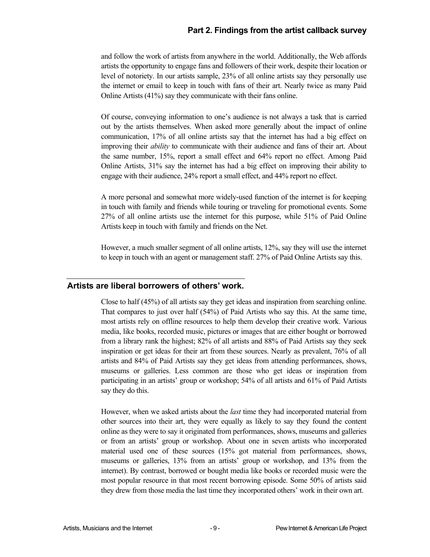#### **Part 2. Findings from the artist callback survey**

and follow the work of artists from anywhere in the world. Additionally, the Web affords artists the opportunity to engage fans and followers of their work, despite their location or level of notoriety. In our artists sample, 23% of all online artists say they personally use the internet or email to keep in touch with fans of their art. Nearly twice as many Paid Online Artists (41%) say they communicate with their fans online.

Of course, conveying information to one's audience is not always a task that is carried out by the artists themselves. When asked more generally about the impact of online communication, 17% of all online artists say that the internet has had a big effect on improving their *ability* to communicate with their audience and fans of their art. About the same number, 15%, report a small effect and 64% report no effect. Among Paid Online Artists, 31% say the internet has had a big effect on improving their ability to engage with their audience, 24% report a small effect, and 44% report no effect.

A more personal and somewhat more widely-used function of the internet is for keeping in touch with family and friends while touring or traveling for promotional events. Some 27% of all online artists use the internet for this purpose, while 51% of Paid Online Artists keep in touch with family and friends on the Net.

However, a much smaller segment of all online artists, 12%, say they will use the internet to keep in touch with an agent or management staff. 27% of Paid Online Artists say this.

#### **Artists are liberal borrowers of others' work.**

Close to half (45%) of all artists say they get ideas and inspiration from searching online. That compares to just over half (54%) of Paid Artists who say this. At the same time, most artists rely on offline resources to help them develop their creative work. Various media, like books, recorded music, pictures or images that are either bought or borrowed from a library rank the highest; 82% of all artists and 88% of Paid Artists say they seek inspiration or get ideas for their art from these sources. Nearly as prevalent, 76% of all artists and 84% of Paid Artists say they get ideas from attending performances, shows, museums or galleries. Less common are those who get ideas or inspiration from participating in an artists' group or workshop; 54% of all artists and 61% of Paid Artists say they do this.

However, when we asked artists about the *last* time they had incorporated material from other sources into their art, they were equally as likely to say they found the content online as they were to say it originated from performances, shows, museums and galleries or from an artists' group or workshop. About one in seven artists who incorporated material used one of these sources (15% got material from performances, shows, museums or galleries, 13% from an artists' group or workshop, and 13% from the internet). By contrast, borrowed or bought media like books or recorded music were the most popular resource in that most recent borrowing episode. Some 50% of artists said they drew from those media the last time they incorporated others' work in their own art.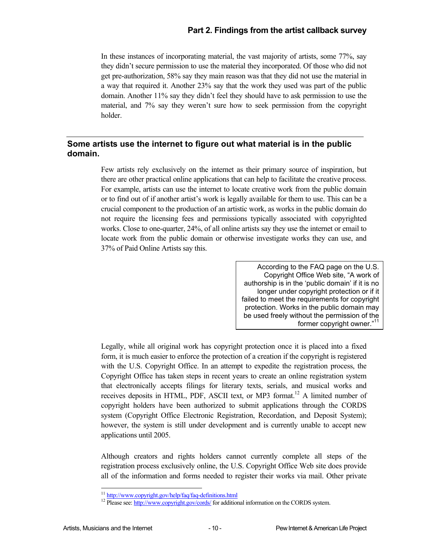#### **Part 2. Findings from the artist callback survey**

In these instances of incorporating material, the vast majority of artists, some 77%, say they didn't secure permission to use the material they incorporated. Of those who did not get pre-authorization, 58% say they main reason was that they did not use the material in a way that required it. Another 23% say that the work they used was part of the public domain. Another 11% say they didn't feel they should have to ask permission to use the material, and 7% say they weren't sure how to seek permission from the copyright holder.

#### **Some artists use the internet to figure out what material is in the public domain.**

Few artists rely exclusively on the internet as their primary source of inspiration, but there are other practical online applications that can help to facilitate the creative process. For example, artists can use the internet to locate creative work from the public domain or to find out of if another artist's work is legally available for them to use. This can be a crucial component to the production of an artistic work, as works in the public domain do not require the licensing fees and permissions typically associated with copyrighted works. Close to one-quarter, 24%, of all online artists say they use the internet or email to locate work from the public domain or otherwise investigate works they can use, and 37% of Paid Online Artists say this.

> According to the FAQ page on the U.S. Copyright Office Web site, "A work of authorship is in the 'public domain' if it is no longer under copyright protection or if it failed to meet the requirements for copyright protection. Works in the public domain may be used freely without the permission of the former copyright owner."11

Legally, while all original work has copyright protection once it is placed into a fixed form, it is much easier to enforce the protection of a creation if the copyright is registered with the U.S. Copyright Office. In an attempt to expedite the registration process, the Copyright Office has taken steps in recent years to create an online registration system that electronically accepts filings for literary texts, serials, and musical works and receives deposits in HTML, PDF, ASCII text, or MP3 format.<sup>12</sup> A limited number of copyright holders have been authorized to submit applications through the CORDS system (Copyright Office Electronic Registration, Recordation, and Deposit System); however, the system is still under development and is currently unable to accept new applications until 2005.

Although creators and rights holders cannot currently complete all steps of the registration process exclusively online, the U.S. Copyright Office Web site does provide all of the information and forms needed to register their works via mail. Other private

<sup>&</sup>lt;sup>11</sup> http://www.copyright.gov/help/faq/faq-definitions.html

<sup>&</sup>lt;sup>12</sup> Please see: http://www.copyright.gov/cords/ for additional information on the CORDS system.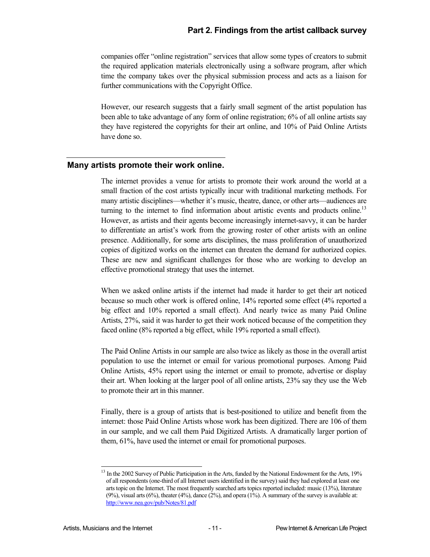companies offer "online registration" services that allow some types of creators to submit the required application materials electronically using a software program, after which time the company takes over the physical submission process and acts as a liaison for further communications with the Copyright Office.

However, our research suggests that a fairly small segment of the artist population has been able to take advantage of any form of online registration; 6% of all online artists say they have registered the copyrights for their art online, and 10% of Paid Online Artists have done so.

#### **Many artists promote their work online.**

The internet provides a venue for artists to promote their work around the world at a small fraction of the cost artists typically incur with traditional marketing methods. For many artistic disciplines—whether it's music, theatre, dance, or other arts—audiences are turning to the internet to find information about artistic events and products online.<sup>13</sup> However, as artists and their agents become increasingly internet-savvy, it can be harder to differentiate an artist's work from the growing roster of other artists with an online presence. Additionally, for some arts disciplines, the mass proliferation of unauthorized copies of digitized works on the internet can threaten the demand for authorized copies. These are new and significant challenges for those who are working to develop an effective promotional strategy that uses the internet.

When we asked online artists if the internet had made it harder to get their art noticed because so much other work is offered online, 14% reported some effect (4% reported a big effect and 10% reported a small effect). And nearly twice as many Paid Online Artists, 27%, said it was harder to get their work noticed because of the competition they faced online (8% reported a big effect, while 19% reported a small effect).

The Paid Online Artists in our sample are also twice as likely as those in the overall artist population to use the internet or email for various promotional purposes. Among Paid Online Artists, 45% report using the internet or email to promote, advertise or display their art. When looking at the larger pool of all online artists, 23% say they use the Web to promote their art in this manner.

Finally, there is a group of artists that is best-positioned to utilize and benefit from the internet: those Paid Online Artists whose work has been digitized. There are 106 of them in our sample, and we call them Paid Digitized Artists. A dramatically larger portion of them, 61%, have used the internet or email for promotional purposes.

l

<sup>&</sup>lt;sup>13</sup> In the 2002 Survey of Public Participation in the Arts, funded by the National Endowment for the Arts, 19% of all respondents (one-third of all Internet users identified in the survey) said they had explored at least one arts topic on the Internet. The most frequently searched arts topics reported included: music (13%), literature  $(9%)$ , visual arts  $(6%)$ , theater  $(4%)$ , dance  $(2%)$ , and opera  $(1%)$ . A summary of the survey is available at: http://www.nea.gov/pub/Notes/81.pdf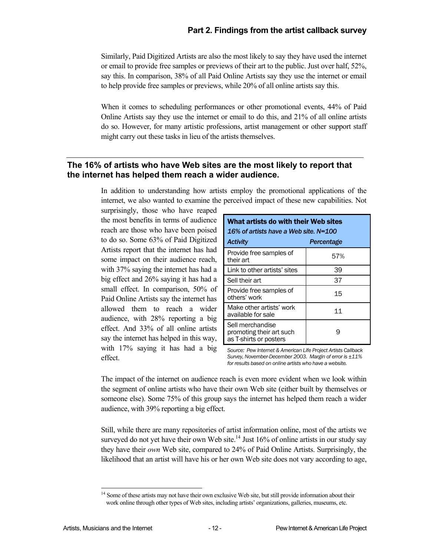Similarly, Paid Digitized Artists are also the most likely to say they have used the internet or email to provide free samples or previews of their art to the public. Just over half, 52%, say this. In comparison, 38% of all Paid Online Artists say they use the internet or email to help provide free samples or previews, while 20% of all online artists say this.

When it comes to scheduling performances or other promotional events, 44% of Paid Online Artists say they use the internet or email to do this, and 21% of all online artists do so. However, for many artistic professions, artist management or other support staff might carry out these tasks in lieu of the artists themselves.

#### **The 16% of artists who have Web sites are the most likely to report that the internet has helped them reach a wider audience.**

In addition to understanding how artists employ the promotional applications of the internet, we also wanted to examine the perceived impact of these new capabilities. Not

surprisingly, those who have reaped the most benefits in terms of audience reach are those who have been poised to do so. Some 63% of Paid Digitized Artists report that the internet has had some impact on their audience reach, with 37% saying the internet has had a big effect and 26% saying it has had a small effect. In comparison, 50% of Paid Online Artists say the internet has allowed them to reach a wider audience, with 28% reporting a big effect. And 33% of all online artists say the internet has helped in this way, with 17% saying it has had a big effect.

| What artists do with their Web sites<br>16% of artists have a Web site. N=100 |            |  |  |
|-------------------------------------------------------------------------------|------------|--|--|
| <b>Activity</b>                                                               | Percentage |  |  |
| Provide free samples of<br>their art                                          | 57%        |  |  |
| Link to other artists' sites                                                  | 39         |  |  |
| Sell their art                                                                | 37         |  |  |
| Provide free samples of<br>others' work                                       | 15         |  |  |
| Make other artists' work<br>available for sale                                | 11         |  |  |
| Sell merchandise<br>promoting their art such<br>as T-shirts or posters        | 9          |  |  |

*Source: Pew Internet & American Life Project Artists Callback Survey, November-December 2003. Margin of error is ±11% for results based on online artists who have a website.* 

The impact of the internet on audience reach is even more evident when we look within the segment of online artists who have their own Web site (either built by themselves or someone else). Some 75% of this group says the internet has helped them reach a wider audience, with 39% reporting a big effect.

Still, while there are many repositories of artist information online, most of the artists we surveyed do not yet have their own Web site.<sup>14</sup> Just  $16\%$  of online artists in our study say they have their *own* Web site, compared to 24% of Paid Online Artists. Surprisingly, the likelihood that an artist will have his or her own Web site does not vary according to age,

l

<sup>&</sup>lt;sup>14</sup> Some of these artists may not have their own exclusive Web site, but still provide information about their work online through other types of Web sites, including artists' organizations, galleries, museums, etc.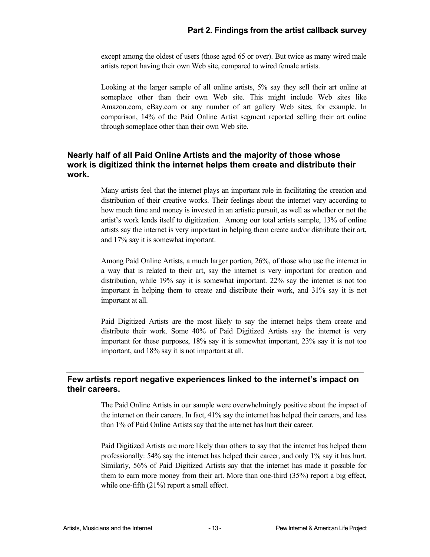except among the oldest of users (those aged 65 or over). But twice as many wired male artists report having their own Web site, compared to wired female artists.

Looking at the larger sample of all online artists, 5% say they sell their art online at someplace other than their own Web site. This might include Web sites like Amazon.com, eBay.com or any number of art gallery Web sites, for example. In comparison, 14% of the Paid Online Artist segment reported selling their art online through someplace other than their own Web site.

#### **Nearly half of all Paid Online Artists and the majority of those whose work is digitized think the internet helps them create and distribute their work.**

Many artists feel that the internet plays an important role in facilitating the creation and distribution of their creative works. Their feelings about the internet vary according to how much time and money is invested in an artistic pursuit, as well as whether or not the artist's work lends itself to digitization. Among our total artists sample, 13% of online artists say the internet is very important in helping them create and/or distribute their art, and 17% say it is somewhat important.

Among Paid Online Artists, a much larger portion, 26%, of those who use the internet in a way that is related to their art, say the internet is very important for creation and distribution, while 19% say it is somewhat important. 22% say the internet is not too important in helping them to create and distribute their work, and 31% say it is not important at all.

Paid Digitized Artists are the most likely to say the internet helps them create and distribute their work. Some 40% of Paid Digitized Artists say the internet is very important for these purposes, 18% say it is somewhat important, 23% say it is not too important, and 18% say it is not important at all.

#### **Few artists report negative experiences linked to the internet's impact on their careers.**

The Paid Online Artists in our sample were overwhelmingly positive about the impact of the internet on their careers. In fact, 41% say the internet has helped their careers, and less than 1% of Paid Online Artists say that the internet has hurt their career.

Paid Digitized Artists are more likely than others to say that the internet has helped them professionally: 54% say the internet has helped their career, and only 1% say it has hurt. Similarly, 56% of Paid Digitized Artists say that the internet has made it possible for them to earn more money from their art. More than one-third (35%) report a big effect, while one-fifth (21%) report a small effect.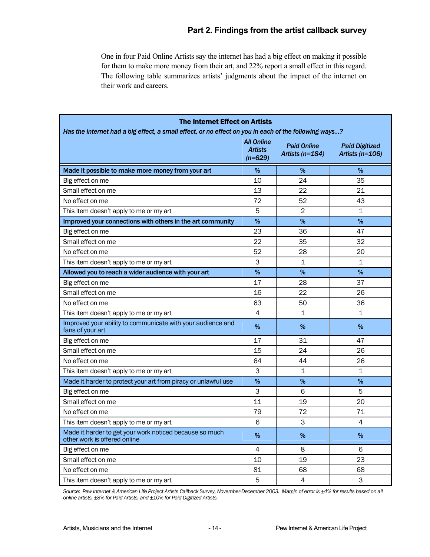#### **Part 2. Findings from the artist callback survey**

One in four Paid Online Artists say the internet has had a big effect on making it possible for them to make more money from their art, and 22% report a small effect in this regard. The following table summarizes artists' judgments about the impact of the internet on their work and careers.

| <b>The Internet Effect on Artists</b>                                                                 |                                                  |                                       |                                            |  |
|-------------------------------------------------------------------------------------------------------|--------------------------------------------------|---------------------------------------|--------------------------------------------|--|
| Has the internet had a big effect, a small effect, or no effect on you in each of the following ways? | <b>All Online</b><br><b>Artists</b><br>$(n=629)$ | <b>Paid Online</b><br>Artists (n=184) | <b>Paid Digitized</b><br>Artists $(n=106)$ |  |
| Made it possible to make more money from your art                                                     | %                                                | %                                     | %                                          |  |
| Big effect on me                                                                                      | 10                                               | 24                                    | 35                                         |  |
| Small effect on me                                                                                    | 13                                               | 22                                    | 21                                         |  |
| No effect on me                                                                                       | 72                                               | 52                                    | 43                                         |  |
| This item doesn't apply to me or my art                                                               | 5                                                | $\overline{2}$                        | 1                                          |  |
| Improved your connections with others in the art community                                            | %                                                | %                                     | %                                          |  |
| Big effect on me                                                                                      | 23                                               | 36                                    | 47                                         |  |
| Small effect on me                                                                                    | 22                                               | 35                                    | 32                                         |  |
| No effect on me                                                                                       | 52                                               | 28                                    | 20                                         |  |
| This item doesn't apply to me or my art                                                               | 3                                                | $\mathbf{1}$                          | $\mathbf 1$                                |  |
| Allowed you to reach a wider audience with your art                                                   | %                                                | %                                     | %                                          |  |
| Big effect on me                                                                                      | 17                                               | 28                                    | 37                                         |  |
| Small effect on me                                                                                    | 16                                               | 22                                    | 26                                         |  |
| No effect on me                                                                                       | 63                                               | 50                                    | 36                                         |  |
| This item doesn't apply to me or my art                                                               | 4                                                | 1                                     | 1                                          |  |
| Improved your ability to communicate with your audience and<br>fans of your art                       | %                                                | %                                     | %                                          |  |
| Big effect on me                                                                                      | 17                                               | 31                                    | 47                                         |  |
| Small effect on me                                                                                    | 15                                               | 24                                    | 26                                         |  |
| No effect on me                                                                                       | 64                                               | 44                                    | 26                                         |  |
| This item doesn't apply to me or my art                                                               | 3                                                | 1                                     | $\mathbf{1}$                               |  |
| Made it harder to protect your art from piracy or unlawful use                                        | %                                                | %                                     | %                                          |  |
| Big effect on me                                                                                      | 3                                                | 6                                     | 5                                          |  |
| Small effect on me                                                                                    | 11                                               | 19                                    | 20                                         |  |
| No effect on me                                                                                       | 79                                               | 72                                    | 71                                         |  |
| This item doesn't apply to me or my art                                                               | 6                                                | 3                                     | 4                                          |  |
| Made it harder to get your work noticed because so much<br>other work is offered online               | $\%$                                             | $\%$                                  | $\%$                                       |  |
| Big effect on me                                                                                      | 4                                                | 8                                     | 6                                          |  |
| Small effect on me                                                                                    | 10                                               | 19                                    | 23                                         |  |
| No effect on me                                                                                       | 81                                               | 68                                    | 68                                         |  |
| This item doesn't apply to me or my art                                                               | 5                                                | $\overline{4}$                        | 3                                          |  |

*Source: Pew Internet & American Life Project Artists Callback Survey, November-December 2003. Margin of error is ±4% for results based on all online artists, ±8% for Paid Artists, and ±10% for Paid Digitized Artists.*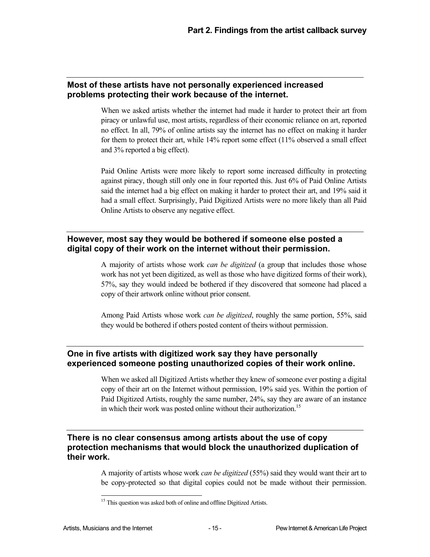#### **Most of these artists have not personally experienced increased problems protecting their work because of the internet.**

When we asked artists whether the internet had made it harder to protect their art from piracy or unlawful use, most artists, regardless of their economic reliance on art, reported no effect. In all, 79% of online artists say the internet has no effect on making it harder for them to protect their art, while 14% report some effect (11% observed a small effect and 3% reported a big effect).

Paid Online Artists were more likely to report some increased difficulty in protecting against piracy, though still only one in four reported this. Just 6% of Paid Online Artists said the internet had a big effect on making it harder to protect their art, and 19% said it had a small effect. Surprisingly, Paid Digitized Artists were no more likely than all Paid Online Artists to observe any negative effect.

#### **However, most say they would be bothered if someone else posted a digital copy of their work on the internet without their permission.**

A majority of artists whose work *can be digitized* (a group that includes those whose work has not yet been digitized, as well as those who have digitized forms of their work), 57%, say they would indeed be bothered if they discovered that someone had placed a copy of their artwork online without prior consent.

Among Paid Artists whose work *can be digitized*, roughly the same portion, 55%, said they would be bothered if others posted content of theirs without permission.

#### **One in five artists with digitized work say they have personally experienced someone posting unauthorized copies of their work online.**

When we asked all Digitized Artists whether they knew of someone ever posting a digital copy of their art on the Internet without permission, 19% said yes. Within the portion of Paid Digitized Artists, roughly the same number, 24%, say they are aware of an instance in which their work was posted online without their authorization.<sup>15</sup>

#### **There is no clear consensus among artists about the use of copy protection mechanisms that would block the unauthorized duplication of their work.**

A majority of artists whose work *can be digitized* (55%) said they would want their art to be copy-protected so that digital copies could not be made without their permission.

1

<sup>&</sup>lt;sup>15</sup> This question was asked both of online and offline Digitized Artists.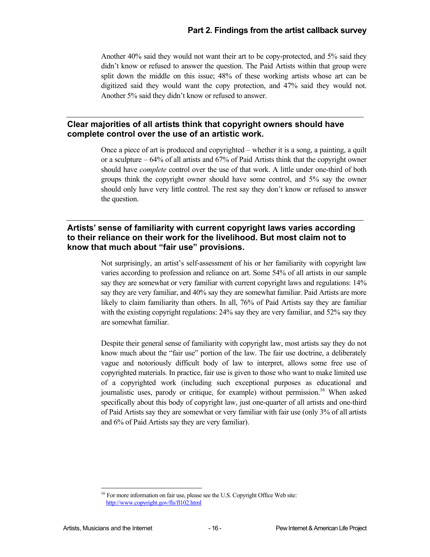Another 40% said they would not want their art to be copy-protected, and 5% said they didn't know or refused to answer the question. The Paid Artists within that group were split down the middle on this issue; 48% of these working artists whose art can be digitized said they would want the copy protection, and 47% said they would not. Another 5% said they didn't know or refused to answer.

#### **Clear majorities of all artists think that copyright owners should have complete control over the use of an artistic work.**

Once a piece of art is produced and copyrighted – whether it is a song, a painting, a quilt or a sculpture – 64% of all artists and 67% of Paid Artists think that the copyright owner should have *complete* control over the use of that work. A little under one-third of both groups think the copyright owner should have some control, and 5% say the owner should only have very little control. The rest say they don't know or refused to answer the question.

#### **Artists' sense of familiarity with current copyright laws varies according to their reliance on their work for the livelihood. But most claim not to know that much about "fair use" provisions.**

Not surprisingly, an artist's self-assessment of his or her familiarity with copyright law varies according to profession and reliance on art. Some 54% of all artists in our sample say they are somewhat or very familiar with current copyright laws and regulations: 14% say they are very familiar, and 40% say they are somewhat familiar. Paid Artists are more likely to claim familiarity than others. In all, 76% of Paid Artists say they are familiar with the existing copyright regulations: 24% say they are very familiar, and 52% say they are somewhat familiar.

Despite their general sense of familiarity with copyright law, most artists say they do not know much about the "fair use" portion of the law. The fair use doctrine, a deliberately vague and notoriously difficult body of law to interpret, allows some free use of copyrighted materials. In practice, fair use is given to those who want to make limited use of a copyrighted work (including such exceptional purposes as educational and journalistic uses, parody or critique, for example) without permission.<sup>16</sup> When asked specifically about this body of copyright law, just one-quarter of all artists and one-third of Paid Artists say they are somewhat or very familiar with fair use (only 3% of all artists and 6% of Paid Artists say they are very familiar).

l

 $16$  For more information on fair use, please see the U.S. Copyright Office Web site: http://www.copyright.gov/fls/fl102.html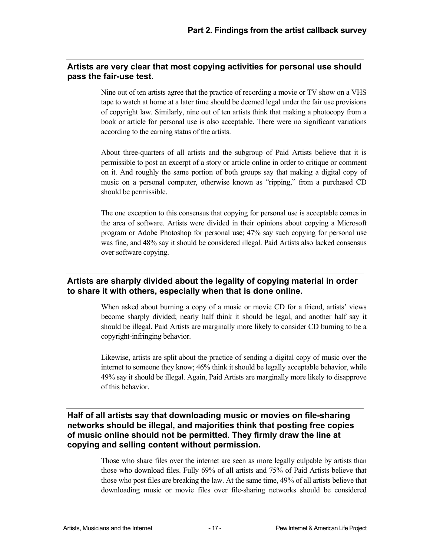#### **Artists are very clear that most copying activities for personal use should pass the fair-use test.**

Nine out of ten artists agree that the practice of recording a movie or TV show on a VHS tape to watch at home at a later time should be deemed legal under the fair use provisions of copyright law. Similarly, nine out of ten artists think that making a photocopy from a book or article for personal use is also acceptable. There were no significant variations according to the earning status of the artists.

About three-quarters of all artists and the subgroup of Paid Artists believe that it is permissible to post an excerpt of a story or article online in order to critique or comment on it. And roughly the same portion of both groups say that making a digital copy of music on a personal computer, otherwise known as "ripping," from a purchased CD should be permissible.

The one exception to this consensus that copying for personal use is acceptable comes in the area of software. Artists were divided in their opinions about copying a Microsoft program or Adobe Photoshop for personal use; 47% say such copying for personal use was fine, and 48% say it should be considered illegal. Paid Artists also lacked consensus over software copying.

#### **Artists are sharply divided about the legality of copying material in order to share it with others, especially when that is done online.**

When asked about burning a copy of a music or movie CD for a friend, artists' views become sharply divided; nearly half think it should be legal, and another half say it should be illegal. Paid Artists are marginally more likely to consider CD burning to be a copyright-infringing behavior.

Likewise, artists are split about the practice of sending a digital copy of music over the internet to someone they know; 46% think it should be legally acceptable behavior, while 49% say it should be illegal. Again, Paid Artists are marginally more likely to disapprove of this behavior.

#### **Half of all artists say that downloading music or movies on file-sharing networks should be illegal, and majorities think that posting free copies of music online should not be permitted. They firmly draw the line at copying and selling content without permission.**

Those who share files over the internet are seen as more legally culpable by artists than those who download files. Fully 69% of all artists and 75% of Paid Artists believe that those who post files are breaking the law. At the same time, 49% of all artists believe that downloading music or movie files over file-sharing networks should be considered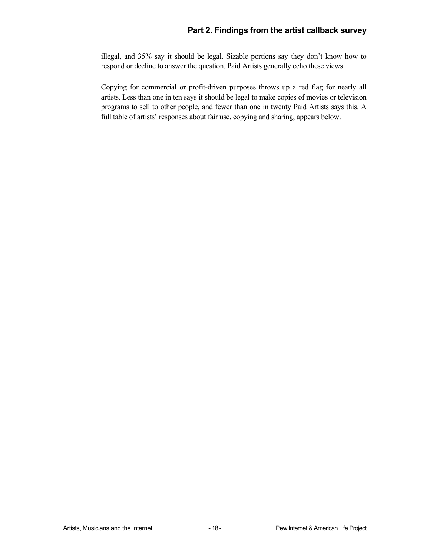illegal, and 35% say it should be legal. Sizable portions say they don't know how to respond or decline to answer the question. Paid Artists generally echo these views.

Copying for commercial or profit-driven purposes throws up a red flag for nearly all artists. Less than one in ten says it should be legal to make copies of movies or television programs to sell to other people, and fewer than one in twenty Paid Artists says this. A full table of artists' responses about fair use, copying and sharing, appears below.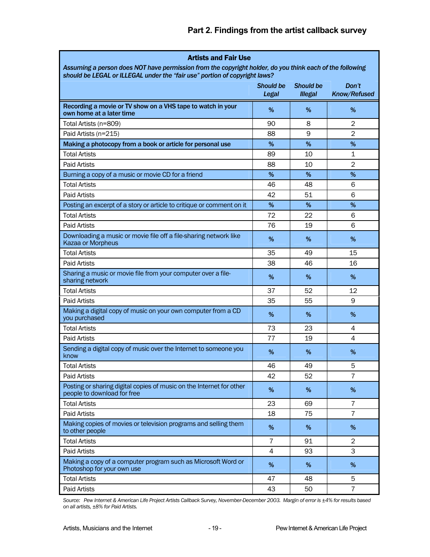#### **Part 2. Findings from the artist callback survey**

| <b>Artists and Fair Use</b>                                                                              |                           |                                    |                       |
|----------------------------------------------------------------------------------------------------------|---------------------------|------------------------------------|-----------------------|
| Assuming a person does NOT have permission from the copyright holder, do you think each of the following |                           |                                    |                       |
| should be LEGAL or ILLEGAL under the "fair use" portion of copyright laws?                               |                           |                                    |                       |
|                                                                                                          | <b>Should be</b><br>Legal | <b>Should be</b><br><b>Illegal</b> | Don't<br>Know/Refused |
| Recording a movie or TV show on a VHS tape to watch in your<br>own home at a later time                  | %                         | %                                  | %                     |
| Total Artists (n=809)                                                                                    | 90                        | 8                                  | $\overline{2}$        |
| Paid Artists (n=215)                                                                                     | 88                        | 9                                  | $\overline{2}$        |
| Making a photocopy from a book or article for personal use                                               | $\%$                      | %                                  | $\%$                  |
| <b>Total Artists</b>                                                                                     | 89                        | 10                                 | 1                     |
| <b>Paid Artists</b>                                                                                      | 88                        | 10                                 | 2                     |
| Burning a copy of a music or movie CD for a friend                                                       | %                         | %                                  | %                     |
| <b>Total Artists</b>                                                                                     | 46                        | 48                                 | 6                     |
| Paid Artists                                                                                             | 42                        | 51                                 | 6                     |
| Posting an excerpt of a story or article to critique or comment on it                                    | %                         | %                                  | %                     |
| <b>Total Artists</b>                                                                                     | 72                        | 22                                 | 6                     |
| <b>Paid Artists</b>                                                                                      | 76                        | 19                                 | 6                     |
| Downloading a music or movie file off a file-sharing network like<br>Kazaa or Morpheus                   | %                         | %                                  | %                     |
| <b>Total Artists</b>                                                                                     | 35                        | 49                                 | 15                    |
| <b>Paid Artists</b>                                                                                      | 38                        | 46                                 | 16                    |
| Sharing a music or movie file from your computer over a file-<br>sharing network                         | %                         | %                                  | %                     |
| <b>Total Artists</b>                                                                                     | 37                        | 52                                 | 12                    |
| <b>Paid Artists</b>                                                                                      | 35                        | 55                                 | 9                     |
| Making a digital copy of music on your own computer from a CD<br>you purchased                           | %                         | %                                  | %                     |
| <b>Total Artists</b>                                                                                     | 73                        | 23                                 | 4                     |
| <b>Paid Artists</b>                                                                                      | 77                        | 19                                 | 4                     |
| Sending a digital copy of music over the Internet to someone you<br>know                                 | %                         | %                                  | %                     |
| <b>Total Artists</b>                                                                                     | 46                        | 49                                 | 5                     |
| <b>Paid Artists</b>                                                                                      | 42                        | 52                                 | $\overline{7}$        |
| Posting or sharing digital copies of music on the Internet for other<br>people to download for free      | $\%$                      | $\%$                               | $\%$                  |
| <b>Total Artists</b>                                                                                     | 23                        | 69                                 | $\overline{7}$        |
| <b>Paid Artists</b>                                                                                      | 18                        | 75                                 | $\overline{7}$        |
| Making copies of movies or television programs and selling them<br>to other people                       | $\%$                      | %                                  | $\%$                  |
| <b>Total Artists</b>                                                                                     | 7                         | 91                                 | 2                     |
| Paid Artists                                                                                             | 4                         | 93                                 | 3                     |
| Making a copy of a computer program such as Microsoft Word or<br>Photoshop for your own use              | $\%$                      | %                                  | %                     |
| <b>Total Artists</b>                                                                                     | 47                        | 48                                 | 5                     |
| Paid Artists                                                                                             | 43                        | 50                                 | $\overline{7}$        |

*Source: Pew Internet & American Life Project Artists Callback Survey, November-December 2003. Margin of error is ±4% for results based on all artists, ±8% for Paid Artists.*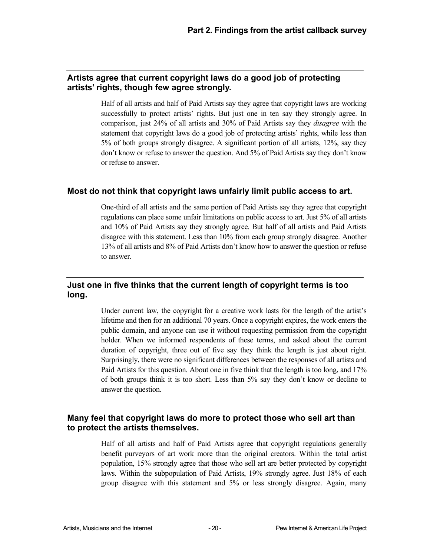#### **Artists agree that current copyright laws do a good job of protecting artists' rights, though few agree strongly.**

Half of all artists and half of Paid Artists say they agree that copyright laws are working successfully to protect artists' rights. But just one in ten say they strongly agree. In comparison, just 24% of all artists and 30% of Paid Artists say they *disagree* with the statement that copyright laws do a good job of protecting artists' rights, while less than 5% of both groups strongly disagree. A significant portion of all artists, 12%, say they don't know or refuse to answer the question. And 5% of Paid Artists say they don't know or refuse to answer.

#### **Most do not think that copyright laws unfairly limit public access to art.**

One-third of all artists and the same portion of Paid Artists say they agree that copyright regulations can place some unfair limitations on public access to art. Just 5% of all artists and 10% of Paid Artists say they strongly agree. But half of all artists and Paid Artists disagree with this statement. Less than 10% from each group strongly disagree. Another 13% of all artists and 8% of Paid Artists don't know how to answer the question or refuse to answer.

#### **Just one in five thinks that the current length of copyright terms is too long.**

Under current law, the copyright for a creative work lasts for the length of the artist's lifetime and then for an additional 70 years. Once a copyright expires, the work enters the public domain, and anyone can use it without requesting permission from the copyright holder. When we informed respondents of these terms, and asked about the current duration of copyright, three out of five say they think the length is just about right. Surprisingly, there were no significant differences between the responses of all artists and Paid Artists for this question. About one in five think that the length is too long, and 17% of both groups think it is too short. Less than 5% say they don't know or decline to answer the question.

#### **Many feel that copyright laws do more to protect those who sell art than to protect the artists themselves.**

Half of all artists and half of Paid Artists agree that copyright regulations generally benefit purveyors of art work more than the original creators. Within the total artist population, 15% strongly agree that those who sell art are better protected by copyright laws. Within the subpopulation of Paid Artists, 19% strongly agree. Just 18% of each group disagree with this statement and 5% or less strongly disagree. Again, many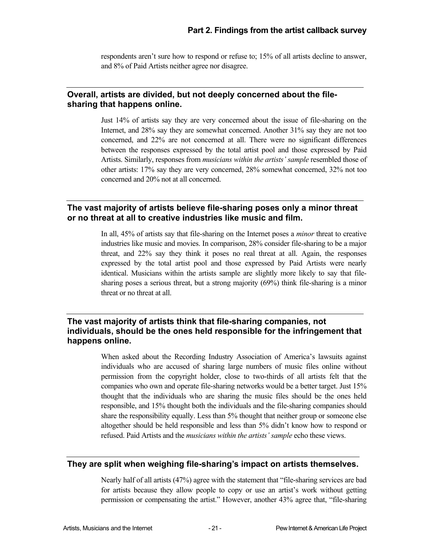respondents aren't sure how to respond or refuse to; 15% of all artists decline to answer, and 8% of Paid Artists neither agree nor disagree.

#### **Overall, artists are divided, but not deeply concerned about the filesharing that happens online.**

Just 14% of artists say they are very concerned about the issue of file-sharing on the Internet, and 28% say they are somewhat concerned. Another 31% say they are not too concerned, and 22% are not concerned at all. There were no significant differences between the responses expressed by the total artist pool and those expressed by Paid Artists. Similarly, responses from *musicians within the artists' sample* resembled those of other artists: 17% say they are very concerned, 28% somewhat concerned, 32% not too concerned and 20% not at all concerned.

#### **The vast majority of artists believe file-sharing poses only a minor threat or no threat at all to creative industries like music and film.**

In all, 45% of artists say that file-sharing on the Internet poses a *minor* threat to creative industries like music and movies. In comparison, 28% consider file-sharing to be a major threat, and 22% say they think it poses no real threat at all. Again, the responses expressed by the total artist pool and those expressed by Paid Artists were nearly identical. Musicians within the artists sample are slightly more likely to say that filesharing poses a serious threat, but a strong majority (69%) think file-sharing is a minor threat or no threat at all.

#### **The vast majority of artists think that file-sharing companies, not individuals, should be the ones held responsible for the infringement that happens online.**

When asked about the Recording Industry Association of America's lawsuits against individuals who are accused of sharing large numbers of music files online without permission from the copyright holder, close to two-thirds of all artists felt that the companies who own and operate file-sharing networks would be a better target. Just 15% thought that the individuals who are sharing the music files should be the ones held responsible, and 15% thought both the individuals and the file-sharing companies should share the responsibility equally. Less than 5% thought that neither group or someone else altogether should be held responsible and less than 5% didn't know how to respond or refused. Paid Artists and the *musicians within the artists' sample* echo these views.

#### **They are split when weighing file-sharing's impact on artists themselves.**

Nearly half of all artists (47%) agree with the statement that "file-sharing services are bad for artists because they allow people to copy or use an artist's work without getting permission or compensating the artist." However, another 43% agree that, "file-sharing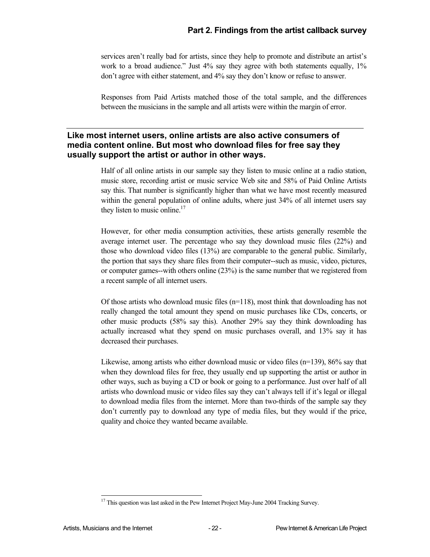services aren't really bad for artists, since they help to promote and distribute an artist's work to a broad audience." Just 4% say they agree with both statements equally, 1% don't agree with either statement, and 4% say they don't know or refuse to answer.

Responses from Paid Artists matched those of the total sample, and the differences between the musicians in the sample and all artists were within the margin of error.

#### **Like most internet users, online artists are also active consumers of media content online. But most who download files for free say they usually support the artist or author in other ways.**

Half of all online artists in our sample say they listen to music online at a radio station, music store, recording artist or music service Web site and 58% of Paid Online Artists say this. That number is significantly higher than what we have most recently measured within the general population of online adults, where just 34% of all internet users say they listen to music online.<sup>17</sup>

However, for other media consumption activities, these artists generally resemble the average internet user. The percentage who say they download music files (22%) and those who download video files (13%) are comparable to the general public. Similarly, the portion that says they share files from their computer--such as music, video, pictures, or computer games--with others online (23%) is the same number that we registered from a recent sample of all internet users.

Of those artists who download music files  $(n=118)$ , most think that downloading has not really changed the total amount they spend on music purchases like CDs, concerts, or other music products (58% say this). Another 29% say they think downloading has actually increased what they spend on music purchases overall, and 13% say it has decreased their purchases.

Likewise, among artists who either download music or video files  $(n=139)$ , 86% say that when they download files for free, they usually end up supporting the artist or author in other ways, such as buying a CD or book or going to a performance. Just over half of all artists who download music or video files say they can't always tell if it's legal or illegal to download media files from the internet. More than two-thirds of the sample say they don't currently pay to download any type of media files, but they would if the price, quality and choice they wanted became available.

<sup>1</sup> <sup>17</sup> This question was last asked in the Pew Internet Project May-June 2004 Tracking Survey.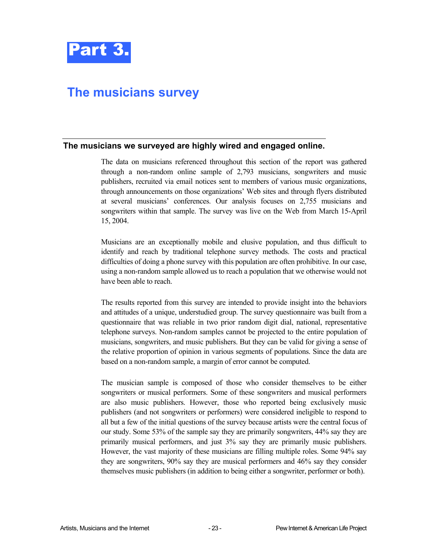

## **The musicians survey**

#### **The musicians we surveyed are highly wired and engaged online.**

The data on musicians referenced throughout this section of the report was gathered through a non-random online sample of 2,793 musicians, songwriters and music publishers, recruited via email notices sent to members of various music organizations, through announcements on those organizations' Web sites and through flyers distributed at several musicians' conferences. Our analysis focuses on 2,755 musicians and songwriters within that sample. The survey was live on the Web from March 15-April 15, 2004.

Musicians are an exceptionally mobile and elusive population, and thus difficult to identify and reach by traditional telephone survey methods. The costs and practical difficulties of doing a phone survey with this population are often prohibitive. In our case, using a non-random sample allowed us to reach a population that we otherwise would not have been able to reach.

The results reported from this survey are intended to provide insight into the behaviors and attitudes of a unique, understudied group. The survey questionnaire was built from a questionnaire that was reliable in two prior random digit dial, national, representative telephone surveys. Non-random samples cannot be projected to the entire population of musicians, songwriters, and music publishers. But they can be valid for giving a sense of the relative proportion of opinion in various segments of populations. Since the data are based on a non-random sample, a margin of error cannot be computed.

The musician sample is composed of those who consider themselves to be either songwriters or musical performers. Some of these songwriters and musical performers are also music publishers. However, those who reported being exclusively music publishers (and not songwriters or performers) were considered ineligible to respond to all but a few of the initial questions of the survey because artists were the central focus of our study. Some 53% of the sample say they are primarily songwriters, 44% say they are primarily musical performers, and just 3% say they are primarily music publishers. However, the vast majority of these musicians are filling multiple roles. Some 94% say they are songwriters, 90% say they are musical performers and 46% say they consider themselves music publishers (in addition to being either a songwriter, performer or both).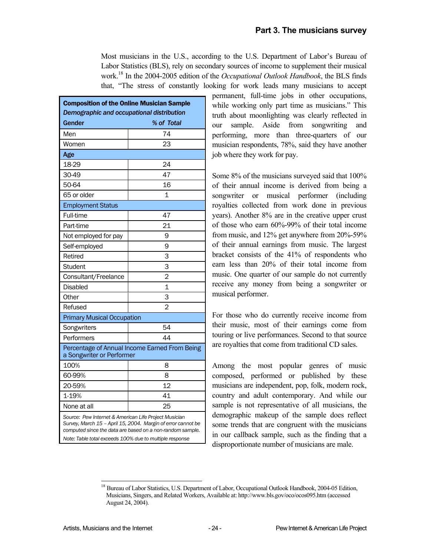Most musicians in the U.S., according to the U.S. Department of Labor's Bureau of Labor Statistics (BLS), rely on secondary sources of income to supplement their musical work.18 In the 2004-2005 edition of the *Occupational Outlook Handbook*, the BLS finds that, "The stress of constantly looking for work leads many musicians to accept

| <b>Composition of the Online Musician Sample</b><br>Demographic and occupational distribution                                                                                                                                                 |                                               |  |  |
|-----------------------------------------------------------------------------------------------------------------------------------------------------------------------------------------------------------------------------------------------|-----------------------------------------------|--|--|
| Gender                                                                                                                                                                                                                                        | % of Total                                    |  |  |
| Men                                                                                                                                                                                                                                           | 74                                            |  |  |
| Women                                                                                                                                                                                                                                         | 23                                            |  |  |
| Age                                                                                                                                                                                                                                           |                                               |  |  |
| 18-29                                                                                                                                                                                                                                         | 24                                            |  |  |
| 30-49                                                                                                                                                                                                                                         | 47                                            |  |  |
| 50-64                                                                                                                                                                                                                                         | 16                                            |  |  |
| 65 or older                                                                                                                                                                                                                                   | 1                                             |  |  |
| <b>Employment Status</b>                                                                                                                                                                                                                      |                                               |  |  |
| Full-time                                                                                                                                                                                                                                     | 47                                            |  |  |
| Part-time                                                                                                                                                                                                                                     | 21                                            |  |  |
| Not employed for pay                                                                                                                                                                                                                          | 9                                             |  |  |
| Self-employed                                                                                                                                                                                                                                 | 9                                             |  |  |
| Retired                                                                                                                                                                                                                                       | 3                                             |  |  |
| Student                                                                                                                                                                                                                                       | 3                                             |  |  |
| Consultant/Freelance                                                                                                                                                                                                                          | $\overline{2}$                                |  |  |
| <b>Disabled</b>                                                                                                                                                                                                                               | 1                                             |  |  |
| Other                                                                                                                                                                                                                                         | 3                                             |  |  |
| Refused                                                                                                                                                                                                                                       | $\overline{2}$                                |  |  |
| <b>Primary Musical Occupation</b>                                                                                                                                                                                                             |                                               |  |  |
| Songwriters                                                                                                                                                                                                                                   | 54                                            |  |  |
| Performers                                                                                                                                                                                                                                    | 44                                            |  |  |
| a Songwriter or Performer                                                                                                                                                                                                                     | Percentage of Annual Income Earned From Being |  |  |
| 100%                                                                                                                                                                                                                                          | 8                                             |  |  |
| 60-99%                                                                                                                                                                                                                                        | 8                                             |  |  |
| 20-59%                                                                                                                                                                                                                                        | 12                                            |  |  |
| 1-19%                                                                                                                                                                                                                                         | 41                                            |  |  |
| None at all                                                                                                                                                                                                                                   | 25                                            |  |  |
| Source: Pew Internet & American Life Project Musician<br>Survey, March 15 - April 15, 2004. Margin of error cannot be<br>computed since the data are based on a non-random sample.<br>Note: Table total exceeds 100% due to multiple response |                                               |  |  |

permanent, full-time jobs in other occupations, while working only part time as musicians." This truth about moonlighting was clearly reflected in our sample. Aside from songwriting and performing, more than three-quarters of our musician respondents, 78%, said they have another job where they work for pay.

Some 8% of the musicians surveyed said that 100% of their annual income is derived from being a songwriter or musical performer (including royalties collected from work done in previous years). Another 8% are in the creative upper crust of those who earn 60%-99% of their total income from music, and 12% get anywhere from 20%-59% of their annual earnings from music. The largest bracket consists of the 41% of respondents who earn less than 20% of their total income from music. One quarter of our sample do not currently receive any money from being a songwriter or musical performer.

For those who do currently receive income from their music, most of their earnings come from touring or live performances. Second to that source are royalties that come from traditional CD sales.

Among the most popular genres of music composed, performed or published by these musicians are independent, pop, folk, modern rock, country and adult contemporary. And while our sample is not representative of all musicians, the demographic makeup of the sample does reflect some trends that are congruent with the musicians in our callback sample, such as the finding that a disproportionate number of musicians are male.

-

<sup>&</sup>lt;sup>18</sup> Bureau of Labor Statistics, U.S. Department of Labor, Occupational Outlook Handbook, 2004-05 Edition, Musicians, Singers, and Related Workers, Available at: http://www.bls.gov/oco/ocos095.htm (accessed August 24, 2004).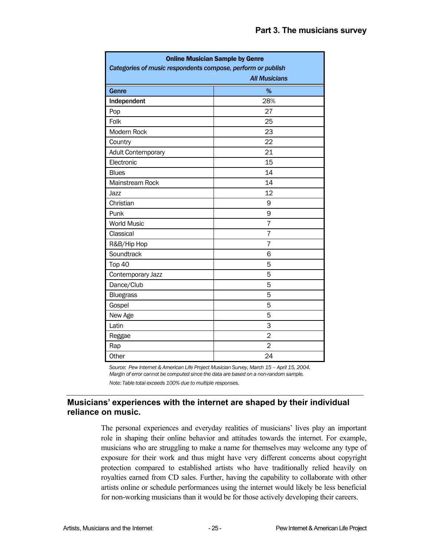| <b>Online Musician Sample by Genre</b><br>Categories of music respondents compose, perform or publish<br><b>All Musicians</b> |                |  |  |
|-------------------------------------------------------------------------------------------------------------------------------|----------------|--|--|
| Genre                                                                                                                         | $\%$           |  |  |
| Independent                                                                                                                   | 28%            |  |  |
| Pop                                                                                                                           | 27             |  |  |
| Folk                                                                                                                          | 25             |  |  |
| Modern Rock                                                                                                                   | 23             |  |  |
| Country                                                                                                                       | 22             |  |  |
| Adult Contemporary                                                                                                            | 21             |  |  |
| Electronic                                                                                                                    | 15             |  |  |
| <b>Blues</b>                                                                                                                  | 14             |  |  |
| Mainstream Rock                                                                                                               | 14             |  |  |
| Jazz                                                                                                                          | 12             |  |  |
| Christian                                                                                                                     | 9              |  |  |
| Punk                                                                                                                          | 9              |  |  |
| <b>World Music</b>                                                                                                            | 7              |  |  |
| Classical                                                                                                                     | 7              |  |  |
| R&B/Hip Hop                                                                                                                   | $\overline{7}$ |  |  |
| Soundtrack                                                                                                                    | 6              |  |  |
| Top 40                                                                                                                        | 5              |  |  |
| Contemporary Jazz                                                                                                             | 5              |  |  |
| Dance/Club                                                                                                                    | 5              |  |  |
| <b>Bluegrass</b>                                                                                                              | 5              |  |  |
| Gospel                                                                                                                        | 5              |  |  |
| New Age                                                                                                                       | 5              |  |  |
| Latin                                                                                                                         | 3              |  |  |
| Reggae                                                                                                                        | $\overline{2}$ |  |  |
| Rap                                                                                                                           | $\overline{2}$ |  |  |
| Other                                                                                                                         | 24             |  |  |

*Source: Pew Internet & American Life Project Musician Survey, March 15 – April 15, 2004. Margin of error cannot be computed since the data are based on a non-random sample.* 

*Note: Table total exceeds 100% due to multiple responses.* 

#### **Musicians' experiences with the internet are shaped by their individual reliance on music.**

The personal experiences and everyday realities of musicians' lives play an important role in shaping their online behavior and attitudes towards the internet. For example, musicians who are struggling to make a name for themselves may welcome any type of exposure for their work and thus might have very different concerns about copyright protection compared to established artists who have traditionally relied heavily on royalties earned from CD sales. Further, having the capability to collaborate with other artists online or schedule performances using the internet would likely be less beneficial for non-working musicians than it would be for those actively developing their careers.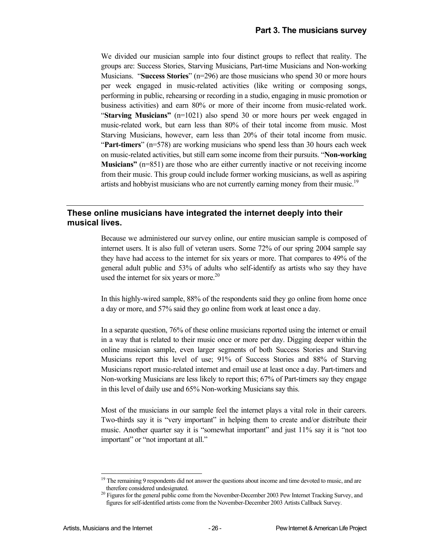We divided our musician sample into four distinct groups to reflect that reality. The groups are: Success Stories, Starving Musicians, Part-time Musicians and Non-working Musicians. "**Success Stories**" (n=296) are those musicians who spend 30 or more hours per week engaged in music-related activities (like writing or composing songs, performing in public, rehearsing or recording in a studio, engaging in music promotion or business activities) and earn 80% or more of their income from music-related work. "**Starving Musicians"** (n=1021) also spend 30 or more hours per week engaged in music-related work, but earn less than 80% of their total income from music. Most Starving Musicians, however, earn less than 20% of their total income from music. "**Part-timers**" (n=578) are working musicians who spend less than 30 hours each week on music-related activities, but still earn some income from their pursuits. "**Non-working Musicians"** (n=851) are those who are either currently inactive or not receiving income from their music. This group could include former working musicians, as well as aspiring artists and hobbyist musicians who are not currently earning money from their music.<sup>19</sup>

#### **These online musicians have integrated the internet deeply into their musical lives.**

Because we administered our survey online, our entire musician sample is composed of internet users. It is also full of veteran users. Some 72% of our spring 2004 sample say they have had access to the internet for six years or more. That compares to 49% of the general adult public and 53% of adults who self-identify as artists who say they have used the internet for six years or more. $20$ 

In this highly-wired sample, 88% of the respondents said they go online from home once a day or more, and 57% said they go online from work at least once a day.

In a separate question, 76% of these online musicians reported using the internet or email in a way that is related to their music once or more per day. Digging deeper within the online musician sample, even larger segments of both Success Stories and Starving Musicians report this level of use; 91% of Success Stories and 88% of Starving Musicians report music-related internet and email use at least once a day. Part-timers and Non-working Musicians are less likely to report this; 67% of Part-timers say they engage in this level of daily use and 65% Non-working Musicians say this.

Most of the musicians in our sample feel the internet plays a vital role in their careers. Two-thirds say it is "very important" in helping them to create and/or distribute their music. Another quarter say it is "somewhat important" and just 11% say it is "not too important" or "not important at all."

l

The remaining 9 respondents did not answer the questions about income and time devoted to music, and are

therefore considered undesignated.<br><sup>20</sup> Figures for the general public come from the November-December 2003 Pew Internet Tracking Survey, and figures for self-identified artists come from the November-December 2003 Artists Callback Survey.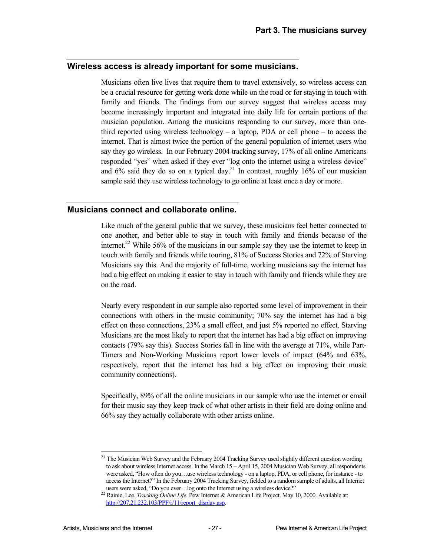#### **Wireless access is already important for some musicians.**

Musicians often live lives that require them to travel extensively, so wireless access can be a crucial resource for getting work done while on the road or for staying in touch with family and friends. The findings from our survey suggest that wireless access may become increasingly important and integrated into daily life for certain portions of the musician population. Among the musicians responding to our survey, more than onethird reported using wireless technology – a laptop, PDA or cell phone – to access the internet. That is almost twice the portion of the general population of internet users who say they go wireless. In our February 2004 tracking survey, 17% of all online Americans responded "yes" when asked if they ever "log onto the internet using a wireless device" and  $6\%$  said they do so on a typical day.<sup>21</sup> In contrast, roughly 16% of our musician sample said they use wireless technology to go online at least once a day or more.

#### **Musicians connect and collaborate online.**

Like much of the general public that we survey, these musicians feel better connected to one another, and better able to stay in touch with family and friends because of the internet.<sup>22</sup> While 56% of the musicians in our sample say they use the internet to keep in touch with family and friends while touring, 81% of Success Stories and 72% of Starving Musicians say this. And the majority of full-time, working musicians say the internet has had a big effect on making it easier to stay in touch with family and friends while they are on the road.

Nearly every respondent in our sample also reported some level of improvement in their connections with others in the music community; 70% say the internet has had a big effect on these connections, 23% a small effect, and just 5% reported no effect. Starving Musicians are the most likely to report that the internet has had a big effect on improving contacts (79% say this). Success Stories fall in line with the average at 71%, while Part-Timers and Non-Working Musicians report lower levels of impact (64% and 63%, respectively, report that the internet has had a big effect on improving their music community connections).

Specifically, 89% of all the online musicians in our sample who use the internet or email for their music say they keep track of what other artists in their field are doing online and 66% say they actually collaborate with other artists online.

1

<sup>&</sup>lt;sup>21</sup> The Musician Web Survey and the February 2004 Tracking Survey used slightly different question wording to ask about wireless Internet access. In the March 15 – April 15, 2004 Musician Web Survey, all respondents were asked, "How often do you…use wireless technology - on a laptop, PDA, or cell phone, for instance - to access the Internet?" In the February 2004 Tracking Survey, fielded to a random sample of adults, all Internet

users were asked, "Do you ever…log onto the Internet using a wireless device?" 22 Rainie, Lee. *Tracking Online Life.* Pew Internet & American Life Project. May 10, 2000. Available at: http://207.21.232.103/PPF/r/11/report\_display.asp.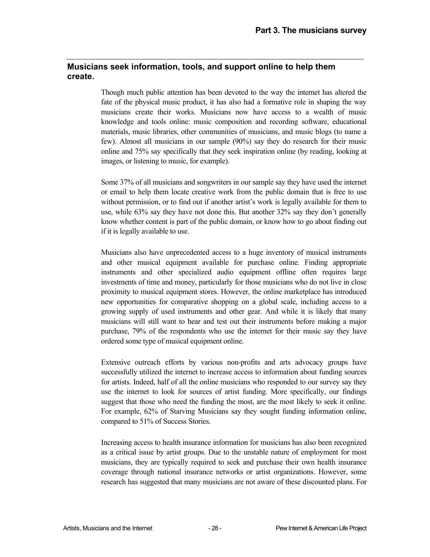#### **Musicians seek information, tools, and support online to help them create.**

Though much public attention has been devoted to the way the internet has altered the fate of the physical music product, it has also had a formative role in shaping the way musicians create their works. Musicians now have access to a wealth of music knowledge and tools online: music composition and recording software, educational materials, music libraries, other communities of musicians, and music blogs (to name a few). Almost all musicians in our sample (90%) say they do research for their music online and 75% say specifically that they seek inspiration online (by reading, looking at images, or listening to music, for example).

Some 37% of all musicians and songwriters in our sample say they have used the internet or email to help them locate creative work from the public domain that is free to use without permission, or to find out if another artist's work is legally available for them to use, while 63% say they have not done this. But another 32% say they don't generally know whether content is part of the public domain, or know how to go about finding out if it is legally available to use.

Musicians also have unprecedented access to a huge inventory of musical instruments and other musical equipment available for purchase online. Finding appropriate instruments and other specialized audio equipment offline often requires large investments of time and money, particularly for those musicians who do not live in close proximity to musical equipment stores. However, the online marketplace has introduced new opportunities for comparative shopping on a global scale, including access to a growing supply of used instruments and other gear. And while it is likely that many musicians will still want to hear and test out their instruments before making a major purchase, 79% of the respondents who use the internet for their music say they have ordered some type of musical equipment online.

Extensive outreach efforts by various non-profits and arts advocacy groups have successfully utilized the internet to increase access to information about funding sources for artists. Indeed, half of all the online musicians who responded to our survey say they use the internet to look for sources of artist funding. More specifically, our findings suggest that those who need the funding the most, are the most likely to seek it online. For example, 62% of Starving Musicians say they sought funding information online, compared to 51% of Success Stories.

Increasing access to health insurance information for musicians has also been recognized as a critical issue by artist groups. Due to the unstable nature of employment for most musicians, they are typically required to seek and purchase their own health insurance coverage through national insurance networks or artist organizations. However, some research has suggested that many musicians are not aware of these discounted plans. For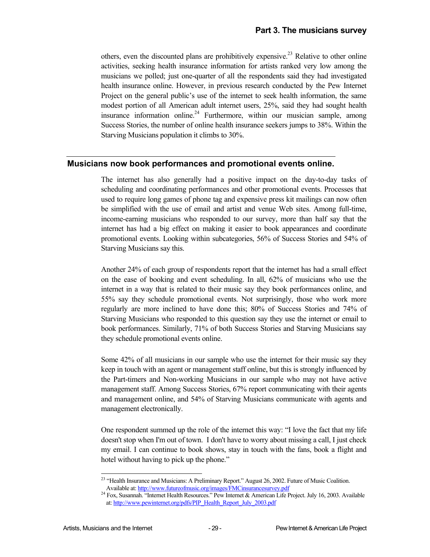others, even the discounted plans are prohibitively expensive.<sup>23</sup> Relative to other online activities, seeking health insurance information for artists ranked very low among the musicians we polled; just one-quarter of all the respondents said they had investigated health insurance online. However, in previous research conducted by the Pew Internet Project on the general public's use of the internet to seek health information, the same modest portion of all American adult internet users, 25%, said they had sought health insurance information online.<sup>24</sup> Furthermore, within our musician sample, among Success Stories, the number of online health insurance seekers jumps to 38%. Within the Starving Musicians population it climbs to 30%.

#### **Musicians now book performances and promotional events online.**

The internet has also generally had a positive impact on the day-to-day tasks of scheduling and coordinating performances and other promotional events. Processes that used to require long games of phone tag and expensive press kit mailings can now often be simplified with the use of email and artist and venue Web sites. Among full-time, income-earning musicians who responded to our survey, more than half say that the internet has had a big effect on making it easier to book appearances and coordinate promotional events. Looking within subcategories, 56% of Success Stories and 54% of Starving Musicians say this.

Another 24% of each group of respondents report that the internet has had a small effect on the ease of booking and event scheduling. In all, 62% of musicians who use the internet in a way that is related to their music say they book performances online, and 55% say they schedule promotional events. Not surprisingly, those who work more regularly are more inclined to have done this; 80% of Success Stories and 74% of Starving Musicians who responded to this question say they use the internet or email to book performances. Similarly, 71% of both Success Stories and Starving Musicians say they schedule promotional events online.

Some 42% of all musicians in our sample who use the internet for their music say they keep in touch with an agent or management staff online, but this is strongly influenced by the Part-timers and Non-working Musicians in our sample who may not have active management staff. Among Success Stories, 67% report communicating with their agents and management online, and 54% of Starving Musicians communicate with agents and management electronically.

One respondent summed up the role of the internet this way: "I love the fact that my life doesn't stop when I'm out of town. I don't have to worry about missing a call, I just check my email. I can continue to book shows, stay in touch with the fans, book a flight and hotel without having to pick up the phone."

l

<sup>&</sup>lt;sup>23</sup> "Health Insurance and Musicians: A Preliminary Report." August 26, 2002. Future of Music Coalition. Available at: http://www.futureofmusic.org/images/FMCinsurancesurvey.pdf<br><sup>24</sup> Fox, Susannah. "Internet Health Resources." Pew Internet & American Life Project. July 16, 2003. Available

at: http://www.pewinternet.org/pdfs/PIP\_Health\_Report\_July\_2003.pdf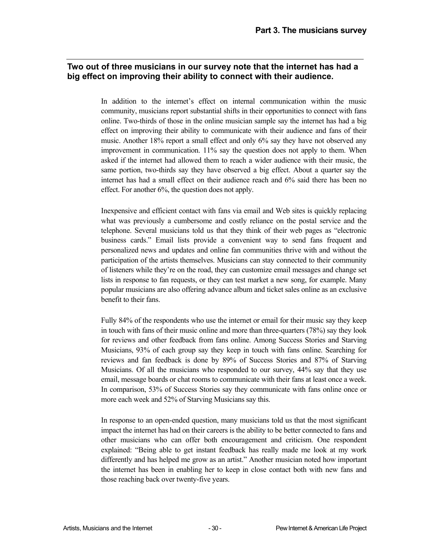#### **Two out of three musicians in our survey note that the internet has had a big effect on improving their ability to connect with their audience.**

In addition to the internet's effect on internal communication within the music community, musicians report substantial shifts in their opportunities to connect with fans online. Two-thirds of those in the online musician sample say the internet has had a big effect on improving their ability to communicate with their audience and fans of their music. Another 18% report a small effect and only 6% say they have not observed any improvement in communication. 11% say the question does not apply to them. When asked if the internet had allowed them to reach a wider audience with their music, the same portion, two-thirds say they have observed a big effect. About a quarter say the internet has had a small effect on their audience reach and 6% said there has been no effect. For another 6%, the question does not apply.

Inexpensive and efficient contact with fans via email and Web sites is quickly replacing what was previously a cumbersome and costly reliance on the postal service and the telephone. Several musicians told us that they think of their web pages as "electronic business cards." Email lists provide a convenient way to send fans frequent and personalized news and updates and online fan communities thrive with and without the participation of the artists themselves. Musicians can stay connected to their community of listeners while they're on the road, they can customize email messages and change set lists in response to fan requests, or they can test market a new song, for example. Many popular musicians are also offering advance album and ticket sales online as an exclusive benefit to their fans.

Fully 84% of the respondents who use the internet or email for their music say they keep in touch with fans of their music online and more than three-quarters (78%) say they look for reviews and other feedback from fans online. Among Success Stories and Starving Musicians, 93% of each group say they keep in touch with fans online. Searching for reviews and fan feedback is done by 89% of Success Stories and 87% of Starving Musicians. Of all the musicians who responded to our survey, 44% say that they use email, message boards or chat rooms to communicate with their fans at least once a week. In comparison, 53% of Success Stories say they communicate with fans online once or more each week and 52% of Starving Musicians say this.

In response to an open-ended question, many musicians told us that the most significant impact the internet has had on their careers is the ability to be better connected to fans and other musicians who can offer both encouragement and criticism. One respondent explained: "Being able to get instant feedback has really made me look at my work differently and has helped me grow as an artist." Another musician noted how important the internet has been in enabling her to keep in close contact both with new fans and those reaching back over twenty-five years.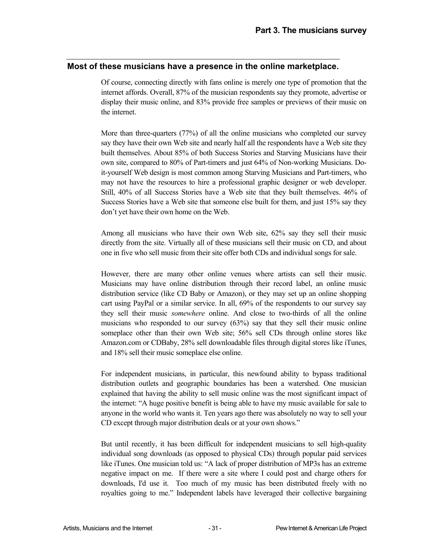#### **Most of these musicians have a presence in the online marketplace.**

Of course, connecting directly with fans online is merely one type of promotion that the internet affords. Overall, 87% of the musician respondents say they promote, advertise or display their music online, and 83% provide free samples or previews of their music on the internet.

More than three-quarters (77%) of all the online musicians who completed our survey say they have their own Web site and nearly half all the respondents have a Web site they built themselves. About 85% of both Success Stories and Starving Musicians have their own site, compared to 80% of Part-timers and just 64% of Non-working Musicians. Doit-yourself Web design is most common among Starving Musicians and Part-timers, who may not have the resources to hire a professional graphic designer or web developer. Still, 40% of all Success Stories have a Web site that they built themselves. 46% of Success Stories have a Web site that someone else built for them, and just 15% say they don't yet have their own home on the Web.

Among all musicians who have their own Web site, 62% say they sell their music directly from the site. Virtually all of these musicians sell their music on CD, and about one in five who sell music from their site offer both CDs and individual songs for sale.

However, there are many other online venues where artists can sell their music. Musicians may have online distribution through their record label, an online music distribution service (like CD Baby or Amazon), or they may set up an online shopping cart using PayPal or a similar service. In all, 69% of the respondents to our survey say they sell their music *somewhere* online. And close to two-thirds of all the online musicians who responded to our survey (63%) say that they sell their music online someplace other than their own Web site; 56% sell CDs through online stores like Amazon.com or CDBaby, 28% sell downloadable files through digital stores like iTunes, and 18% sell their music someplace else online.

For independent musicians, in particular, this newfound ability to bypass traditional distribution outlets and geographic boundaries has been a watershed. One musician explained that having the ability to sell music online was the most significant impact of the internet: "A huge positive benefit is being able to have my music available for sale to anyone in the world who wants it. Ten years ago there was absolutely no way to sell your CD except through major distribution deals or at your own shows."

But until recently, it has been difficult for independent musicians to sell high-quality individual song downloads (as opposed to physical CDs) through popular paid services like iTunes. One musician told us: "A lack of proper distribution of MP3s has an extreme negative impact on me. If there were a site where I could post and charge others for downloads, I'd use it. Too much of my music has been distributed freely with no royalties going to me." Independent labels have leveraged their collective bargaining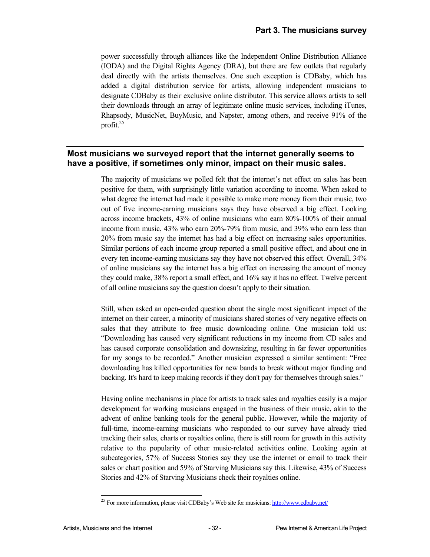power successfully through alliances like the Independent Online Distribution Alliance (IODA) and the Digital Rights Agency (DRA), but there are few outlets that regularly deal directly with the artists themselves. One such exception is CDBaby, which has added a digital distribution service for artists, allowing independent musicians to designate CDBaby as their exclusive online distributor. This service allows artists to sell their downloads through an array of legitimate online music services, including iTunes, Rhapsody, MusicNet, BuyMusic, and Napster, among others, and receive 91% of the profit.25

#### **Most musicians we surveyed report that the internet generally seems to have a positive, if sometimes only minor, impact on their music sales.**

The majority of musicians we polled felt that the internet's net effect on sales has been positive for them, with surprisingly little variation according to income. When asked to what degree the internet had made it possible to make more money from their music, two out of five income-earning musicians says they have observed a big effect. Looking across income brackets, 43% of online musicians who earn 80%-100% of their annual income from music, 43% who earn 20%-79% from music, and 39% who earn less than 20% from music say the internet has had a big effect on increasing sales opportunities. Similar portions of each income group reported a small positive effect, and about one in every ten income-earning musicians say they have not observed this effect. Overall, 34% of online musicians say the internet has a big effect on increasing the amount of money they could make, 38% report a small effect, and 16% say it has no effect. Twelve percent of all online musicians say the question doesn't apply to their situation.

Still, when asked an open-ended question about the single most significant impact of the internet on their career, a minority of musicians shared stories of very negative effects on sales that they attribute to free music downloading online. One musician told us: "Downloading has caused very significant reductions in my income from CD sales and has caused corporate consolidation and downsizing, resulting in far fewer opportunities for my songs to be recorded." Another musician expressed a similar sentiment: "Free downloading has killed opportunities for new bands to break without major funding and backing. It's hard to keep making records if they don't pay for themselves through sales."

Having online mechanisms in place for artists to track sales and royalties easily is a major development for working musicians engaged in the business of their music, akin to the advent of online banking tools for the general public. However, while the majority of full-time, income-earning musicians who responded to our survey have already tried tracking their sales, charts or royalties online, there is still room for growth in this activity relative to the popularity of other music-related activities online. Looking again at subcategories, 57% of Success Stories say they use the internet or email to track their sales or chart position and 59% of Starving Musicians say this. Likewise, 43% of Success Stories and 42% of Starving Musicians check their royalties online.

1

<sup>&</sup>lt;sup>25</sup> For more information, please visit CDBaby's Web site for musicians: http://www.cdbaby.net/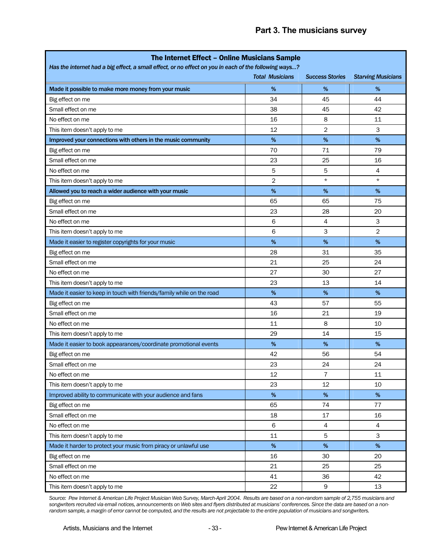| The Internet Effect - Online Musicians Sample                                                                                                             |                |                |                           |  |
|-----------------------------------------------------------------------------------------------------------------------------------------------------------|----------------|----------------|---------------------------|--|
| Has the internet had a big effect, a small effect, or no effect on you in each of the following ways?<br><b>Total Musicians</b><br><b>Success Stories</b> |                |                |                           |  |
|                                                                                                                                                           |                |                | <b>Starving Musicians</b> |  |
| Made it possible to make more money from your music                                                                                                       | $\%$           | %              | %                         |  |
| Big effect on me                                                                                                                                          | 34             | 45             | 44                        |  |
| Small effect on me                                                                                                                                        | 38             | 45             | 42                        |  |
| No effect on me                                                                                                                                           | 16             | 8              | 11                        |  |
| This item doesn't apply to me                                                                                                                             | 12             | 2              | 3                         |  |
| Improved your connections with others in the music community                                                                                              | %              | %              | $\%$                      |  |
| Big effect on me                                                                                                                                          | 70             | 71             | 79                        |  |
| Small effect on me                                                                                                                                        | 23             | 25             | 16                        |  |
| No effect on me                                                                                                                                           | 5              | 5              | 4                         |  |
| This item doesn't apply to me                                                                                                                             | $\overline{2}$ | $^\star$       | $^\star$                  |  |
| Allowed you to reach a wider audience with your music                                                                                                     | %              | %              | $\%$                      |  |
| Big effect on me                                                                                                                                          | 65             | 65             | 75                        |  |
| Small effect on me                                                                                                                                        | 23             | 28             | 20                        |  |
| No effect on me                                                                                                                                           | 6              | 4              | 3                         |  |
| This item doesn't apply to me                                                                                                                             | 6              | 3              | 2                         |  |
| Made it easier to register copyrights for your music                                                                                                      | %              | %              | %                         |  |
| Big effect on me                                                                                                                                          | 28             | 31             | 35                        |  |
| Small effect on me                                                                                                                                        | 21             | 25             | 24                        |  |
| No effect on me                                                                                                                                           | 27             | 30             | 27                        |  |
| This item doesn't apply to me                                                                                                                             | 23             | 13             | 14                        |  |
| Made it easier to keep in touch with friends/family while on the road                                                                                     | %              | %              | %                         |  |
| Big effect on me                                                                                                                                          | 43             | 57             | 55                        |  |
| Small effect on me                                                                                                                                        | 16             | 21             | 19                        |  |
| No effect on me                                                                                                                                           | 11             | 8              | 10                        |  |
| This item doesn't apply to me                                                                                                                             | 29             | 14             | 15                        |  |
| Made it easier to book appearances/coordinate promotional events                                                                                          | %              | %              | %                         |  |
| Big effect on me                                                                                                                                          | 42             | 56             | 54                        |  |
| Small effect on me                                                                                                                                        | 23             | 24             | 24                        |  |
| No effect on me                                                                                                                                           | 12             | $\overline{7}$ | 11                        |  |
| This item doesn't apply to me                                                                                                                             | 23             | 12             | 10                        |  |
| Improved ability to communicate with your audience and fans                                                                                               | $\%$           | %              | $\%$                      |  |
| Big effect on me                                                                                                                                          | 65             | 74             | 77                        |  |
| Small effect on me                                                                                                                                        | 18             | 17             | 16                        |  |
| No effect on me                                                                                                                                           | 6              | 4              | 4                         |  |
| This item doesn't apply to me                                                                                                                             | 11             | 5              | 3                         |  |
| Made it harder to protect your music from piracy or unlawful use                                                                                          | $\%$           | $\%$           | $\%$                      |  |
| Big effect on me                                                                                                                                          | 16             | 30             | 20                        |  |
| Small effect on me                                                                                                                                        | 21             | 25             | 25                        |  |
| No effect on me                                                                                                                                           | 41             | 36             | 42                        |  |
| This item doesn't apply to me                                                                                                                             | 22             | 9              | 13                        |  |

*Source: Pew Internet & American Life Project Musician Web Survey, March-April 2004. Results are based on a non-random sample of 2,755 musicians and songwriters recruited via email notices, announcements on Web sites and flyers distributed at musicians' conferences. Since the data are based on a nonrandom sample, a margin of error cannot be computed, and the results are not projectable to the entire population of musicians and songwriters.*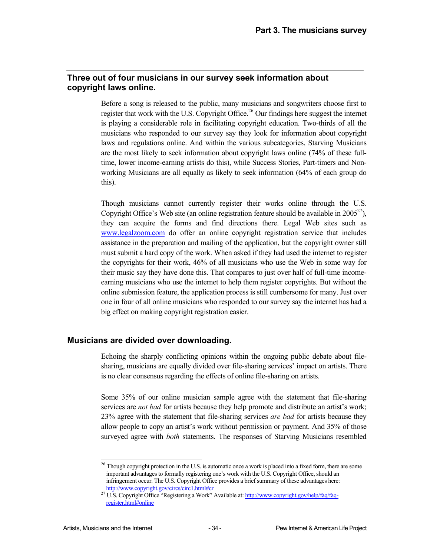#### **Three out of four musicians in our survey seek information about copyright laws online.**

Before a song is released to the public, many musicians and songwriters choose first to register that work with the U.S. Copyright Office.<sup>26</sup> Our findings here suggest the internet is playing a considerable role in facilitating copyright education. Two-thirds of all the musicians who responded to our survey say they look for information about copyright laws and regulations online. And within the various subcategories, Starving Musicians are the most likely to seek information about copyright laws online (74% of these fulltime, lower income-earning artists do this), while Success Stories, Part-timers and Nonworking Musicians are all equally as likely to seek information (64% of each group do this).

Though musicians cannot currently register their works online through the U.S. Copyright Office's Web site (an online registration feature should be available in  $2005^{27}$ ), they can acquire the forms and find directions there. Legal Web sites such as www.legalzoom.com do offer an online copyright registration service that includes assistance in the preparation and mailing of the application, but the copyright owner still must submit a hard copy of the work. When asked if they had used the internet to register the copyrights for their work, 46% of all musicians who use the Web in some way for their music say they have done this. That compares to just over half of full-time incomeearning musicians who use the internet to help them register copyrights. But without the online submission feature, the application process is still cumbersome for many. Just over one in four of all online musicians who responded to our survey say the internet has had a big effect on making copyright registration easier.

#### **Musicians are divided over downloading.**

Echoing the sharply conflicting opinions within the ongoing public debate about filesharing, musicians are equally divided over file-sharing services' impact on artists. There is no clear consensus regarding the effects of online file-sharing on artists.

Some 35% of our online musician sample agree with the statement that file-sharing services are *not bad* for artists because they help promote and distribute an artist's work; 23% agree with the statement that file-sharing services *are bad* for artists because they allow people to copy an artist's work without permission or payment. And 35% of those surveyed agree with *both* statements. The responses of Starving Musicians resembled

<sup>1</sup>  $26$  Though copyright protection in the U.S. is automatic once a work is placed into a fixed form, there are some important advantages to formally registering one's work with the U.S. Copyright Office, should an infringement occur. The U.S. Copyright Office provides a brief summary of these advantages here:

http://www.copyright.gov/circs/circ1.html#cr 27 U.S. Copyright Office "Registering a Work" Available at: http://www.copyright.gov/help/faq/faqregister.html#online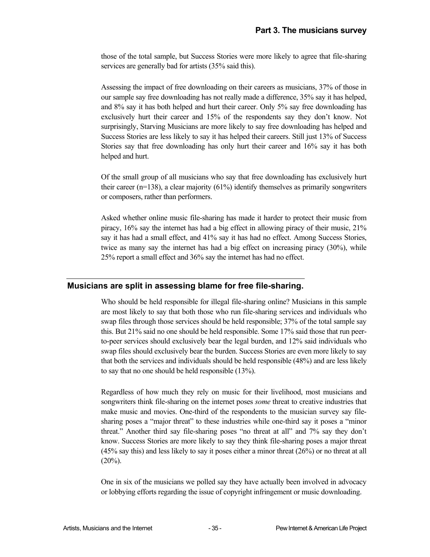those of the total sample, but Success Stories were more likely to agree that file-sharing services are generally bad for artists (35% said this).

Assessing the impact of free downloading on their careers as musicians, 37% of those in our sample say free downloading has not really made a difference, 35% say it has helped, and 8% say it has both helped and hurt their career. Only 5% say free downloading has exclusively hurt their career and 15% of the respondents say they don't know. Not surprisingly, Starving Musicians are more likely to say free downloading has helped and Success Stories are less likely to say it has helped their careers. Still just 13% of Success Stories say that free downloading has only hurt their career and 16% say it has both helped and hurt.

Of the small group of all musicians who say that free downloading has exclusively hurt their career ( $n=138$ ), a clear majority ( $61\%$ ) identify themselves as primarily songwriters or composers, rather than performers.

Asked whether online music file-sharing has made it harder to protect their music from piracy, 16% say the internet has had a big effect in allowing piracy of their music, 21% say it has had a small effect, and 41% say it has had no effect. Among Success Stories, twice as many say the internet has had a big effect on increasing piracy (30%), while 25% report a small effect and 36% say the internet has had no effect.

#### **Musicians are split in assessing blame for free file-sharing.**

Who should be held responsible for illegal file-sharing online? Musicians in this sample are most likely to say that both those who run file-sharing services and individuals who swap files through those services should be held responsible; 37% of the total sample say this. But 21% said no one should be held responsible. Some 17% said those that run peerto-peer services should exclusively bear the legal burden, and 12% said individuals who swap files should exclusively bear the burden. Success Stories are even more likely to say that both the services and individuals should be held responsible (48%) and are less likely to say that no one should be held responsible (13%).

Regardless of how much they rely on music for their livelihood, most musicians and songwriters think file-sharing on the internet poses *some* threat to creative industries that make music and movies. One-third of the respondents to the musician survey say filesharing poses a "major threat" to these industries while one-third say it poses a "minor threat." Another third say file-sharing poses "no threat at all" and 7% say they don't know. Success Stories are more likely to say they think file-sharing poses a major threat (45% say this) and less likely to say it poses either a minor threat (26%) or no threat at all  $(20\%)$ .

One in six of the musicians we polled say they have actually been involved in advocacy or lobbying efforts regarding the issue of copyright infringement or music downloading.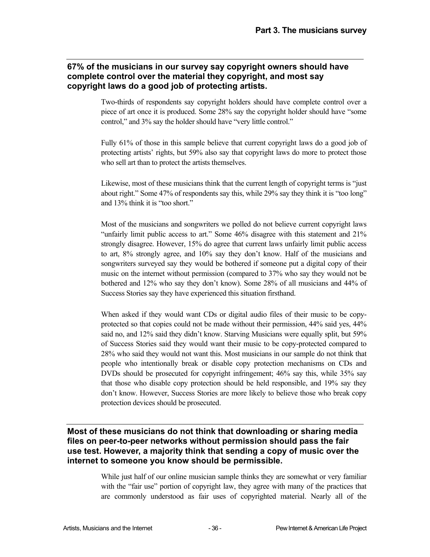#### **67% of the musicians in our survey say copyright owners should have complete control over the material they copyright, and most say copyright laws do a good job of protecting artists.**

Two-thirds of respondents say copyright holders should have complete control over a piece of art once it is produced. Some 28% say the copyright holder should have "some control," and 3% say the holder should have "very little control."

Fully 61% of those in this sample believe that current copyright laws do a good job of protecting artists' rights, but 59% also say that copyright laws do more to protect those who sell art than to protect the artists themselves.

Likewise, most of these musicians think that the current length of copyright terms is "just about right." Some 47% of respondents say this, while 29% say they think it is "too long" and 13% think it is "too short."

Most of the musicians and songwriters we polled do not believe current copyright laws "unfairly limit public access to art." Some 46% disagree with this statement and 21% strongly disagree. However, 15% do agree that current laws unfairly limit public access to art, 8% strongly agree, and 10% say they don't know. Half of the musicians and songwriters surveyed say they would be bothered if someone put a digital copy of their music on the internet without permission (compared to 37% who say they would not be bothered and 12% who say they don't know). Some 28% of all musicians and 44% of Success Stories say they have experienced this situation firsthand.

When asked if they would want CDs or digital audio files of their music to be copyprotected so that copies could not be made without their permission, 44% said yes, 44% said no, and 12% said they didn't know. Starving Musicians were equally split, but 59% of Success Stories said they would want their music to be copy-protected compared to 28% who said they would not want this. Most musicians in our sample do not think that people who intentionally break or disable copy protection mechanisms on CDs and DVDs should be prosecuted for copyright infringement; 46% say this, while 35% say that those who disable copy protection should be held responsible, and 19% say they don't know. However, Success Stories are more likely to believe those who break copy protection devices should be prosecuted.

#### **Most of these musicians do not think that downloading or sharing media files on peer-to-peer networks without permission should pass the fair use test. However, a majority think that sending a copy of music over the internet to someone you know should be permissible.**

While just half of our online musician sample thinks they are somewhat or very familiar with the "fair use" portion of copyright law, they agree with many of the practices that are commonly understood as fair uses of copyrighted material. Nearly all of the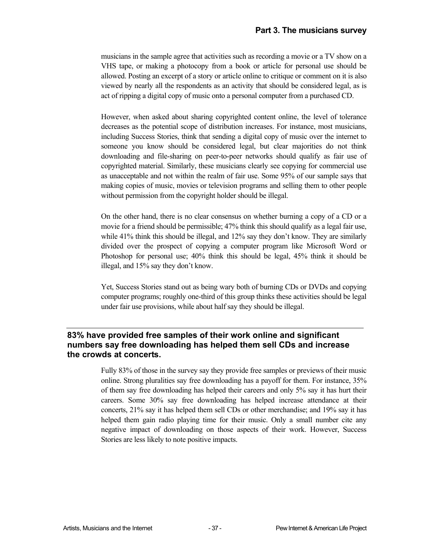musicians in the sample agree that activities such as recording a movie or a TV show on a VHS tape, or making a photocopy from a book or article for personal use should be allowed. Posting an excerpt of a story or article online to critique or comment on it is also viewed by nearly all the respondents as an activity that should be considered legal, as is act of ripping a digital copy of music onto a personal computer from a purchased CD.

However, when asked about sharing copyrighted content online, the level of tolerance decreases as the potential scope of distribution increases. For instance, most musicians, including Success Stories, think that sending a digital copy of music over the internet to someone you know should be considered legal, but clear majorities do not think downloading and file-sharing on peer-to-peer networks should qualify as fair use of copyrighted material. Similarly, these musicians clearly see copying for commercial use as unacceptable and not within the realm of fair use. Some 95% of our sample says that making copies of music, movies or television programs and selling them to other people without permission from the copyright holder should be illegal.

On the other hand, there is no clear consensus on whether burning a copy of a CD or a movie for a friend should be permissible; 47% think this should qualify as a legal fair use, while 41% think this should be illegal, and 12% say they don't know. They are similarly divided over the prospect of copying a computer program like Microsoft Word or Photoshop for personal use; 40% think this should be legal, 45% think it should be illegal, and 15% say they don't know.

Yet, Success Stories stand out as being wary both of burning CDs or DVDs and copying computer programs; roughly one-third of this group thinks these activities should be legal under fair use provisions, while about half say they should be illegal.

#### **83% have provided free samples of their work online and significant numbers say free downloading has helped them sell CDs and increase the crowds at concerts.**

Fully 83% of those in the survey say they provide free samples or previews of their music online. Strong pluralities say free downloading has a payoff for them. For instance, 35% of them say free downloading has helped their careers and only 5% say it has hurt their careers. Some 30% say free downloading has helped increase attendance at their concerts, 21% say it has helped them sell CDs or other merchandise; and 19% say it has helped them gain radio playing time for their music. Only a small number cite any negative impact of downloading on those aspects of their work. However, Success Stories are less likely to note positive impacts.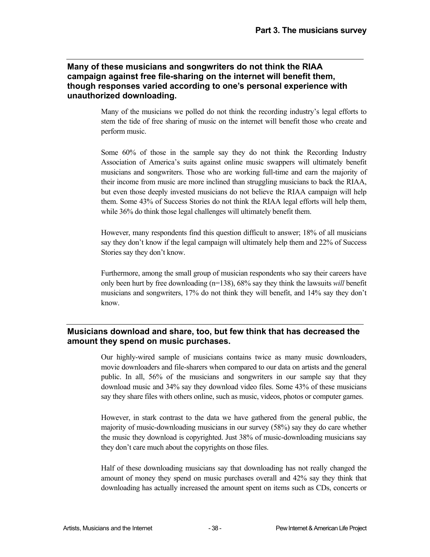#### **Many of these musicians and songwriters do not think the RIAA campaign against free file-sharing on the internet will benefit them, though responses varied according to one's personal experience with unauthorized downloading.**

Many of the musicians we polled do not think the recording industry's legal efforts to stem the tide of free sharing of music on the internet will benefit those who create and perform music.

Some 60% of those in the sample say they do not think the Recording Industry Association of America's suits against online music swappers will ultimately benefit musicians and songwriters. Those who are working full-time and earn the majority of their income from music are more inclined than struggling musicians to back the RIAA, but even those deeply invested musicians do not believe the RIAA campaign will help them. Some 43% of Success Stories do not think the RIAA legal efforts will help them, while 36% do think those legal challenges will ultimately benefit them.

However, many respondents find this question difficult to answer; 18% of all musicians say they don't know if the legal campaign will ultimately help them and 22% of Success Stories say they don't know.

Furthermore, among the small group of musician respondents who say their careers have only been hurt by free downloading (n=138), 68% say they think the lawsuits *will* benefit musicians and songwriters, 17% do not think they will benefit, and 14% say they don't know.

#### **Musicians download and share, too, but few think that has decreased the amount they spend on music purchases.**

Our highly-wired sample of musicians contains twice as many music downloaders, movie downloaders and file-sharers when compared to our data on artists and the general public. In all, 56% of the musicians and songwriters in our sample say that they download music and 34% say they download video files. Some 43% of these musicians say they share files with others online, such as music, videos, photos or computer games.

However, in stark contrast to the data we have gathered from the general public, the majority of music-downloading musicians in our survey (58%) say they do care whether the music they download is copyrighted. Just 38% of music-downloading musicians say they don't care much about the copyrights on those files.

Half of these downloading musicians say that downloading has not really changed the amount of money they spend on music purchases overall and 42% say they think that downloading has actually increased the amount spent on items such as CDs, concerts or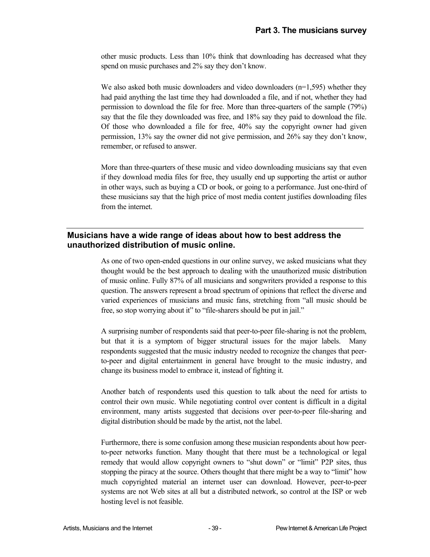other music products. Less than 10% think that downloading has decreased what they spend on music purchases and 2% say they don't know.

We also asked both music downloaders and video downloaders  $(n=1,595)$  whether they had paid anything the last time they had downloaded a file, and if not, whether they had permission to download the file for free. More than three-quarters of the sample (79%) say that the file they downloaded was free, and 18% say they paid to download the file. Of those who downloaded a file for free, 40% say the copyright owner had given permission, 13% say the owner did not give permission, and 26% say they don't know, remember, or refused to answer.

More than three-quarters of these music and video downloading musicians say that even if they download media files for free, they usually end up supporting the artist or author in other ways, such as buying a CD or book, or going to a performance. Just one-third of these musicians say that the high price of most media content justifies downloading files from the internet.

#### **Musicians have a wide range of ideas about how to best address the unauthorized distribution of music online.**

As one of two open-ended questions in our online survey, we asked musicians what they thought would be the best approach to dealing with the unauthorized music distribution of music online. Fully 87% of all musicians and songwriters provided a response to this question. The answers represent a broad spectrum of opinions that reflect the diverse and varied experiences of musicians and music fans, stretching from "all music should be free, so stop worrying about it" to "file-sharers should be put in jail."

A surprising number of respondents said that peer-to-peer file-sharing is not the problem, but that it is a symptom of bigger structural issues for the major labels. Many respondents suggested that the music industry needed to recognize the changes that peerto-peer and digital entertainment in general have brought to the music industry, and change its business model to embrace it, instead of fighting it.

Another batch of respondents used this question to talk about the need for artists to control their own music. While negotiating control over content is difficult in a digital environment, many artists suggested that decisions over peer-to-peer file-sharing and digital distribution should be made by the artist, not the label.

Furthermore, there is some confusion among these musician respondents about how peerto-peer networks function. Many thought that there must be a technological or legal remedy that would allow copyright owners to "shut down" or "limit" P2P sites, thus stopping the piracy at the source. Others thought that there might be a way to "limit" how much copyrighted material an internet user can download. However, peer-to-peer systems are not Web sites at all but a distributed network, so control at the ISP or web hosting level is not feasible.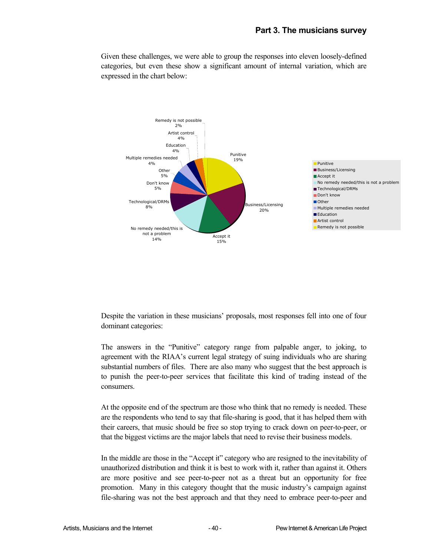Given these challenges, we were able to group the responses into eleven loosely-defined categories, but even these show a significant amount of internal variation, which are expressed in the chart below:



Despite the variation in these musicians' proposals, most responses fell into one of four dominant categories:

The answers in the "Punitive" category range from palpable anger, to joking, to agreement with the RIAA's current legal strategy of suing individuals who are sharing substantial numbers of files. There are also many who suggest that the best approach is to punish the peer-to-peer services that facilitate this kind of trading instead of the consumers.

At the opposite end of the spectrum are those who think that no remedy is needed. These are the respondents who tend to say that file-sharing is good, that it has helped them with their careers, that music should be free so stop trying to crack down on peer-to-peer, or that the biggest victims are the major labels that need to revise their business models.

In the middle are those in the "Accept it" category who are resigned to the inevitability of unauthorized distribution and think it is best to work with it, rather than against it. Others are more positive and see peer-to-peer not as a threat but an opportunity for free promotion. Many in this category thought that the music industry's campaign against file-sharing was not the best approach and that they need to embrace peer-to-peer and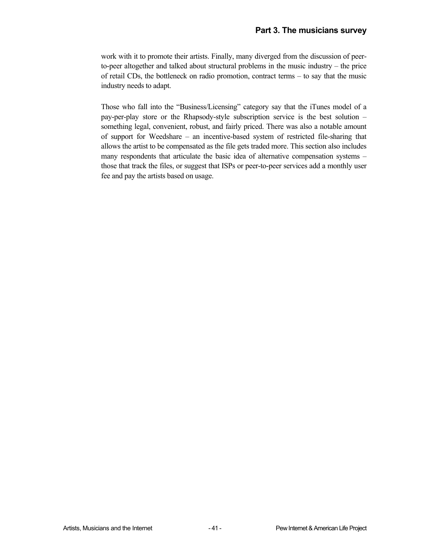work with it to promote their artists. Finally, many diverged from the discussion of peerto-peer altogether and talked about structural problems in the music industry – the price of retail CDs, the bottleneck on radio promotion, contract terms – to say that the music industry needs to adapt.

Those who fall into the "Business/Licensing" category say that the iTunes model of a pay-per-play store or the Rhapsody-style subscription service is the best solution – something legal, convenient, robust, and fairly priced. There was also a notable amount of support for Weedshare – an incentive-based system of restricted file-sharing that allows the artist to be compensated as the file gets traded more. This section also includes many respondents that articulate the basic idea of alternative compensation systems – those that track the files, or suggest that ISPs or peer-to-peer services add a monthly user fee and pay the artists based on usage.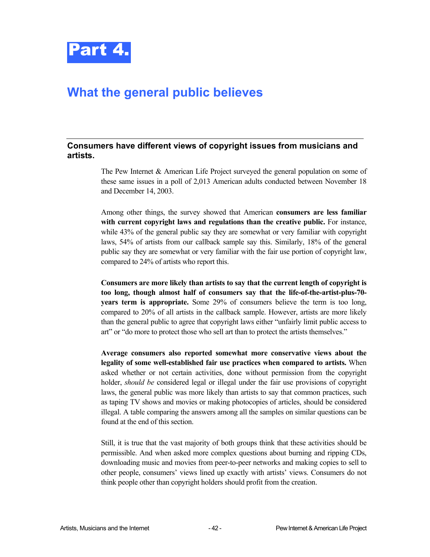

## **What the general public believes**

#### **Consumers have different views of copyright issues from musicians and artists.**

The Pew Internet & American Life Project surveyed the general population on some of these same issues in a poll of 2,013 American adults conducted between November 18 and December 14, 2003.

Among other things, the survey showed that American **consumers are less familiar with current copyright laws and regulations than the creative public.** For instance, while 43% of the general public say they are somewhat or very familiar with copyright laws, 54% of artists from our callback sample say this. Similarly, 18% of the general public say they are somewhat or very familiar with the fair use portion of copyright law, compared to 24% of artists who report this.

**Consumers are more likely than artists to say that the current length of copyright is too long, though almost half of consumers say that the life-of-the-artist-plus-70 years term is appropriate.** Some 29% of consumers believe the term is too long, compared to 20% of all artists in the callback sample. However, artists are more likely than the general public to agree that copyright laws either "unfairly limit public access to art" or "do more to protect those who sell art than to protect the artists themselves."

**Average consumers also reported somewhat more conservative views about the legality of some well-established fair use practices when compared to artists.** When asked whether or not certain activities, done without permission from the copyright holder, *should be* considered legal or illegal under the fair use provisions of copyright laws, the general public was more likely than artists to say that common practices, such as taping TV shows and movies or making photocopies of articles, should be considered illegal. A table comparing the answers among all the samples on similar questions can be found at the end of this section.

Still, it is true that the vast majority of both groups think that these activities should be permissible. And when asked more complex questions about burning and ripping CDs, downloading music and movies from peer-to-peer networks and making copies to sell to other people, consumers' views lined up exactly with artists' views. Consumers do not think people other than copyright holders should profit from the creation.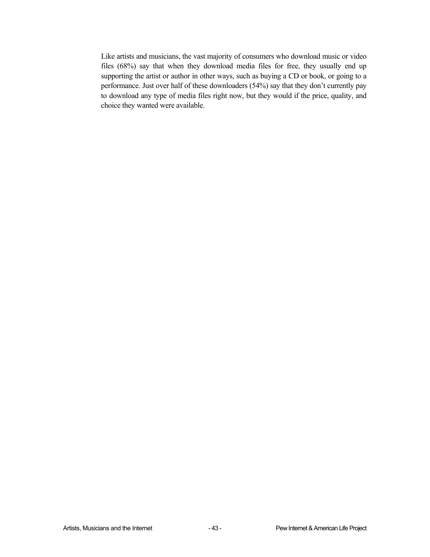Like artists and musicians, the vast majority of consumers who download music or video files (68%) say that when they download media files for free, they usually end up supporting the artist or author in other ways, such as buying a CD or book, or going to a performance. Just over half of these downloaders (54%) say that they don't currently pay to download any type of media files right now, but they would if the price, quality, and choice they wanted were available.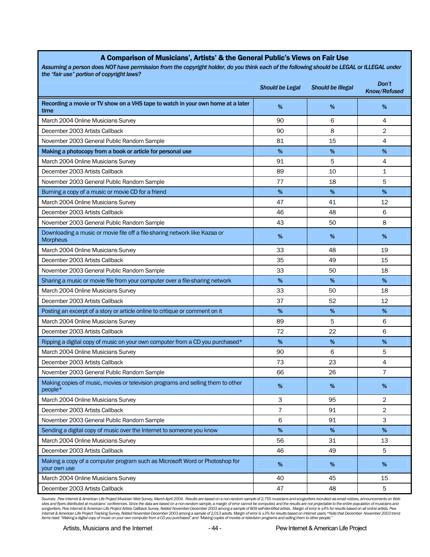| the "fair use" portion of copyright laws?                                                     |                        |                          |                       |
|-----------------------------------------------------------------------------------------------|------------------------|--------------------------|-----------------------|
|                                                                                               | <b>Should be Legal</b> | <b>Should be Illegal</b> | Don't<br>Know/Refused |
| Recording a movie or TV show on a VHS tape to watch in your own home at a later<br>time       | %                      | %                        | %                     |
| March 2004 Online Musicians Survey                                                            | 90                     | 6                        | 4                     |
| December 2003 Artists Callback                                                                | 90                     | 8                        | $\overline{2}$        |
| November 2003 General Public Random Sample                                                    | 81                     | 15                       | 4                     |
| Making a photocopy from a book or article for personal use                                    | %                      | %                        | %                     |
| March 2004 Online Musicians Survey                                                            | 91                     | 5                        | 4                     |
| December 2003 Artists Callback                                                                | 89                     | 10                       | 1                     |
| November 2003 General Public Random Sample                                                    | 77                     | 18                       | 5                     |
| Burning a copy of a music or movie CD for a friend                                            | %                      | $\%$                     | $\%$                  |
| March 2004 Online Musicians Survey                                                            | 47                     | 41                       | 12                    |
| December 2003 Artists Callback                                                                | 46                     | 48                       | 6                     |
| November 2003 General Public Random Sample                                                    | 43                     | 50                       | 8                     |
| Downloading a music or movie file off a file-sharing network like Kazaa or<br><b>Morpheus</b> | %                      | %                        | $\%$                  |
| March 2004 Online Musicians Survey                                                            | 33                     | 48                       | 19                    |
| December 2003 Artists Callback                                                                | 35                     | 49                       | 15                    |
| November 2003 General Public Random Sample                                                    | 33                     | 50                       | 18                    |
| Sharing a music or movie file from your computer over a file-sharing network                  | %                      | $\%$                     | $\%$                  |
| March 2004 Online Musicians Survey                                                            | 33                     | 50                       | 18                    |
| December 2003 Artists Callback                                                                | 37                     | 52                       | 12                    |
| Posting an excerpt of a story or article online to critique or comment on it                  | %                      | %                        | %                     |
| March 2004 Online Musicians Survey                                                            | 89                     | 5                        | 6                     |
| December 2003 Artists Callback                                                                | 72                     | 22                       | 6                     |
| Ripping a digital copy of music on your own computer from a CD you purchased*                 | %                      | $\%$                     | $\%$                  |
| March 2004 Online Musicians Survey                                                            | 90                     | 6                        | 5                     |
| December 2003 Artists Callback                                                                | 73                     | 23                       | 4                     |
| November 2003 General Public Random Sample                                                    | 66                     | 26                       | $\overline{7}$        |
| Making copies of music, movies or television programs and selling them to other<br>people*    | %                      | $\%$                     | %                     |
| March 2004 Online Musicians Survey                                                            | 3                      | 95                       | $\overline{2}$        |
| December 2003 Artists Callback                                                                | 7                      | 91                       | $\overline{c}$        |
| November 2003 General Public Random Sample                                                    | 6                      | 91                       | 3                     |
| Sending a digital copy of music over the Internet to someone you know                         | $\%$                   | %                        | $\%$                  |
| March 2004 Online Musicians Survey                                                            | 56                     | 31                       | 13                    |
| December 2003 Artists Callback                                                                | 46                     | 49                       | 5                     |
| Making a copy of a computer program such as Microsoft Word or Photoshop for<br>your own use   | %                      | $\%$                     | %                     |
| March 2004 Online Musicians Survey                                                            | 40                     | 45                       | 15                    |
| December 2003 Artists Callback                                                                | 47                     | 48                       | 5                     |

#### A Comparison of Musicians', Artists' & the General Public's Views on Fair Use *Assuming a person does NOT have permission from the copyright holder, do you think each of the following should be LEGAL or ILLEGAL under*

*Sources: Pew Internet & American Life Project Musician Web Survey, March-April 2004. Results are based on a non-random sample of 2,755 musicians and songwriters recruited via email notices, announcements on Web*  sites and flyers distributed at musicians' conferences. Since the data are based on a non-random sample, a margin of error cannot be computed, and the results are not projectable to the entire population of musicians and<br>I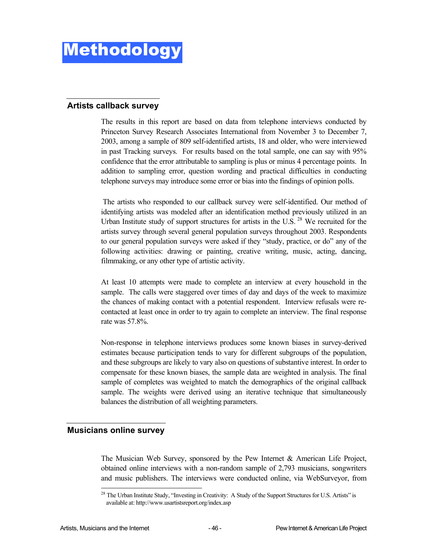#### **Artists callback survey**

The results in this report are based on data from telephone interviews conducted by Princeton Survey Research Associates International from November 3 to December 7, 2003, among a sample of 809 self-identified artists, 18 and older, who were interviewed in past Tracking surveys. For results based on the total sample, one can say with 95% confidence that the error attributable to sampling is plus or minus 4 percentage points. In addition to sampling error, question wording and practical difficulties in conducting telephone surveys may introduce some error or bias into the findings of opinion polls.

 The artists who responded to our callback survey were self-identified. Our method of identifying artists was modeled after an identification method previously utilized in an Urban Institute study of support structures for artists in the U.S.  $^{28}$  We recruited for the artists survey through several general population surveys throughout 2003. Respondents to our general population surveys were asked if they "study, practice, or do" any of the following activities: drawing or painting, creative writing, music, acting, dancing, filmmaking, or any other type of artistic activity.

At least 10 attempts were made to complete an interview at every household in the sample. The calls were staggered over times of day and days of the week to maximize the chances of making contact with a potential respondent. Interview refusals were recontacted at least once in order to try again to complete an interview. The final response rate was 57.8%.

Non-response in telephone interviews produces some known biases in survey-derived estimates because participation tends to vary for different subgroups of the population, and these subgroups are likely to vary also on questions of substantive interest. In order to compensate for these known biases, the sample data are weighted in analysis. The final sample of completes was weighted to match the demographics of the original callback sample. The weights were derived using an iterative technique that simultaneously balances the distribution of all weighting parameters.

#### **Musicians online survey**

The Musician Web Survey, sponsored by the Pew Internet & American Life Project, obtained online interviews with a non-random sample of 2,793 musicians, songwriters and music publishers. The interviews were conducted online, via WebSurveyor, from

l <sup>28</sup> The Urban Institute Study, "Investing in Creativity: A Study of the Support Structures for U.S. Artists" is available at: http://www.usartistsreport.org/index.asp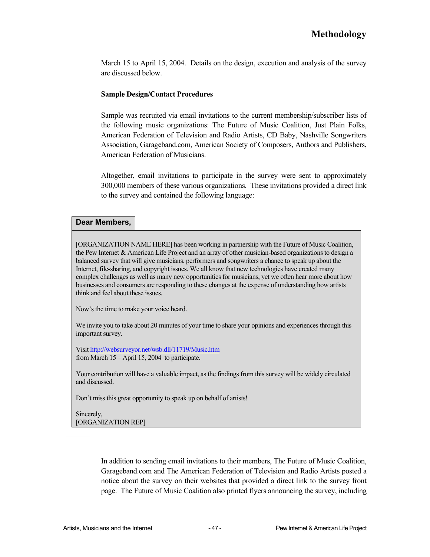March 15 to April 15, 2004. Details on the design, execution and analysis of the survey are discussed below.

#### **Sample Design/Contact Procedures**

Sample was recruited via email invitations to the current membership/subscriber lists of the following music organizations: The Future of Music Coalition, Just Plain Folks, American Federation of Television and Radio Artists, CD Baby, Nashville Songwriters Association, Garageband.com, American Society of Composers, Authors and Publishers, American Federation of Musicians.

Altogether, email invitations to participate in the survey were sent to approximately 300,000 members of these various organizations. These invitations provided a direct link to the survey and contained the following language:

#### **Dear Members,**

[ORGANIZATION NAME HERE] has been working in partnership with the Future of Music Coalition, the Pew Internet & American Life Project and an array of other musician-based organizations to design a balanced survey that will give musicians, performers and songwriters a chance to speak up about the Internet, file-sharing, and copyright issues. We all know that new technologies have created many complex challenges as well as many new opportunities for musicians, yet we often hear more about how businesses and consumers are responding to these changes at the expense of understanding how artists think and feel about these issues.

Now's the time to make your voice heard.

We invite you to take about 20 minutes of your time to share your opinions and experiences through this important survey.

Visit http://websurveyor.net/wsb.dll/11719/Music.htm from March 15 – April 15, 2004 to participate.

Your contribution will have a valuable impact, as the findings from this survey will be widely circulated and discussed.

Don't miss this great opportunity to speak up on behalf of artists!

Sincerely, [ORGANIZATION REP]

> In addition to sending email invitations to their members, The Future of Music Coalition, Garageband.com and The American Federation of Television and Radio Artists posted a notice about the survey on their websites that provided a direct link to the survey front page. The Future of Music Coalition also printed flyers announcing the survey, including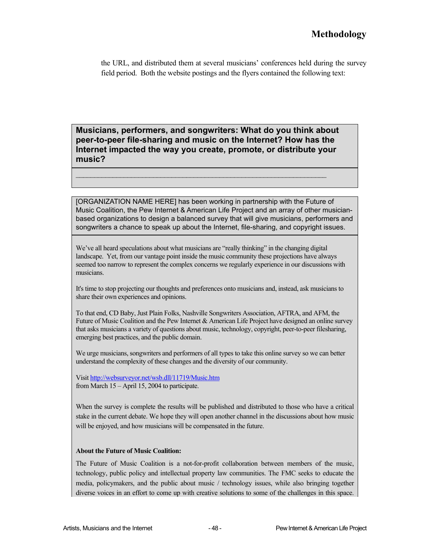the URL, and distributed them at several musicians' conferences held during the survey field period. Both the website postings and the flyers contained the following text:

**Musicians, performers, and songwriters: What do you think about peer-to-peer file-sharing and music on the Internet? How has the Internet impacted the way you create, promote, or distribute your music?** 

 $\mathcal{L}_\text{max} = \frac{1}{2} \sum_{i=1}^n \mathcal{L}_\text{max}(\mathbf{x}_i - \mathbf{y}_i)$ 

[ORGANIZATION NAME HERE] has been working in partnership with the Future of Music Coalition, the Pew Internet & American Life Project and an array of other musicianbased organizations to design a balanced survey that will give musicians, performers and songwriters a chance to speak up about the Internet, file-sharing, and copyright issues.

We've all heard speculations about what musicians are "really thinking" in the changing digital landscape. Yet, from our vantage point inside the music community these projections have always seemed too narrow to represent the complex concerns we regularly experience in our discussions with musicians.

It's time to stop projecting our thoughts and preferences onto musicians and, instead, ask musicians to share their own experiences and opinions.

To that end, CD Baby, Just Plain Folks, Nashville Songwriters Association, AFTRA, and AFM, the Future of Music Coalition and the Pew Internet & American Life Project have designed an online survey that asks musicians a variety of questions about music, technology, copyright, peer-to-peer filesharing, emerging best practices, and the public domain.

We urge musicians, songwriters and performers of all types to take this online survey so we can better understand the complexity of these changes and the diversity of our community.

Visit http://websurveyor.net/wsb.dll/11719/Music.htm from March 15 – April 15, 2004 to participate.

When the survey is complete the results will be published and distributed to those who have a critical stake in the current debate. We hope they will open another channel in the discussions about how music will be enjoyed, and how musicians will be compensated in the future.

#### **About the Future of Music Coalition:**

The Future of Music Coalition is a not-for-profit collaboration between members of the music, technology, public policy and intellectual property law communities. The FMC seeks to educate the media, policymakers, and the public about music / technology issues, while also bringing together diverse voices in an effort to come up with creative solutions to some of the challenges in this space.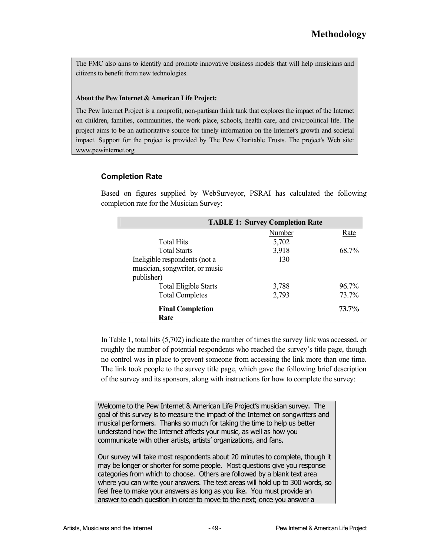The FMC also aims to identify and promote innovative business models that will help musicians and citizens to benefit from new technologies.

#### **About the Pew Internet & American Life Project:**

The Pew Internet Project is a nonprofit, non-partisan think tank that explores the impact of the Internet on children, families, communities, the work place, schools, health care, and civic/political life. The project aims to be an authoritative source for timely information on the Internet's growth and societal impact. Support for the project is provided by The Pew Charitable Trusts. The project's Web site: www.pewinternet.org

#### **Completion Rate**

Based on figures supplied by WebSurveyor, PSRAI has calculated the following completion rate for the Musician Survey:

|                                | <b>TABLE 1: Survey Completion Rate</b> |          |
|--------------------------------|----------------------------------------|----------|
|                                | Number                                 | Rate     |
| <b>Total Hits</b>              | 5,702                                  |          |
| <b>Total Starts</b>            | 3,918                                  | 68.7%    |
| Ineligible respondents (not a  | 130                                    |          |
| musician, songwriter, or music |                                        |          |
| publisher)                     |                                        |          |
| <b>Total Eligible Starts</b>   | 3,788                                  | $96.7\%$ |
| <b>Total Completes</b>         | 2,793                                  | 73.7%    |
| <b>Final Completion</b>        |                                        | 73.7%    |
| Rate                           |                                        |          |

In Table 1, total hits (5,702) indicate the number of times the survey link was accessed, or roughly the number of potential respondents who reached the survey's title page, though no control was in place to prevent someone from accessing the link more than one time. The link took people to the survey title page, which gave the following brief description of the survey and its sponsors, along with instructions for how to complete the survey:

Welcome to the Pew Internet & American Life Project's musician survey. The goal of this survey is to measure the impact of the Internet on songwriters and musical performers. Thanks so much for taking the time to help us better understand how the Internet affects your music, as well as how you communicate with other artists, artists' organizations, and fans.

Our survey will take most respondents about 20 minutes to complete, though it may be longer or shorter for some people. Most questions give you response categories from which to choose. Others are followed by a blank text area where you can write your answers. The text areas will hold up to 300 words, so feel free to make your answers as long as you like. You must provide an answer to each question in order to move to the next; once you answer a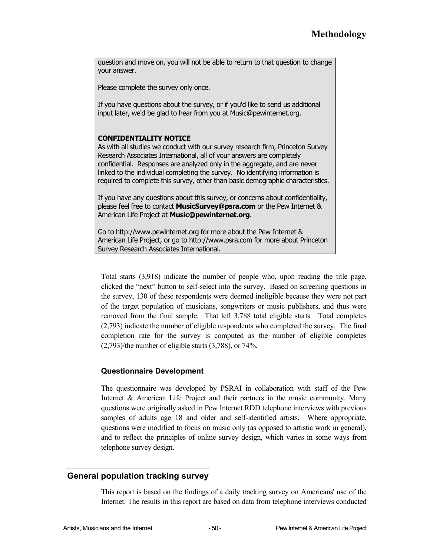question and move on, you will not be able to return to that question to change your answer.

Please complete the survey only once.

If you have questions about the survey, or if you'd like to send us additional input later, we'd be glad to hear from you at Music@pewinternet.org.

#### **CONFIDENTIALITY NOTICE**

As with all studies we conduct with our survey research firm, Princeton Survey Research Associates International, all of your answers are completely confidential. Responses are analyzed only in the aggregate, and are never linked to the individual completing the survey. No identifying information is required to complete this survey, other than basic demographic characteristics.

If you have any questions about this survey, or concerns about confidentiality, please feel free to contact **MusicSurvey@psra.com** or the Pew Internet & American Life Project at **Music@pewinternet.org**.

Go to http://www.pewinternet.org for more about the Pew Internet & American Life Project, or go to http://www.psra.com for more about Princeton Survey Research Associates International.

Total starts (3,918) indicate the number of people who, upon reading the title page, clicked the "next" button to self-select into the survey. Based on screening questions in the survey, 130 of these respondents were deemed ineligible because they were not part of the target population of musicians, songwriters or music publishers, and thus were removed from the final sample. That left 3,788 total eligible starts. Total completes (2,793) indicate the number of eligible respondents who completed the survey. The final completion rate for the survey is computed as the number of eligible completes (2,793)/the number of eligible starts (3,788), or 74%.

#### **Questionnaire Development**

The questionnaire was developed by PSRAI in collaboration with staff of the Pew Internet & American Life Project and their partners in the music community. Many questions were originally asked in Pew Internet RDD telephone interviews with previous samples of adults age 18 and older and self-identified artists. Where appropriate, questions were modified to focus on music only (as opposed to artistic work in general), and to reflect the principles of online survey design, which varies in some ways from telephone survey design.

#### **General population tracking survey**

This report is based on the findings of a daily tracking survey on Americans' use of the Internet. The results in this report are based on data from telephone interviews conducted